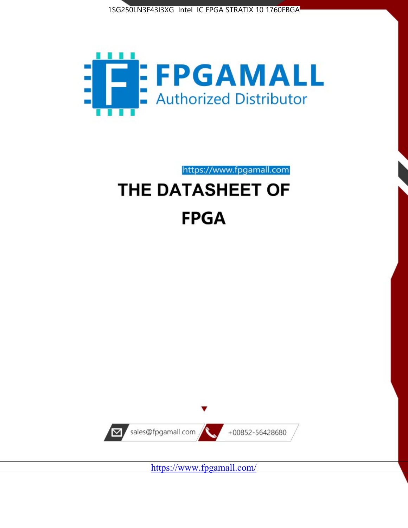



https://www.fpgamall.com

# THE DATASHEET OF **FPGA**



<https://www.fpgamall.com/>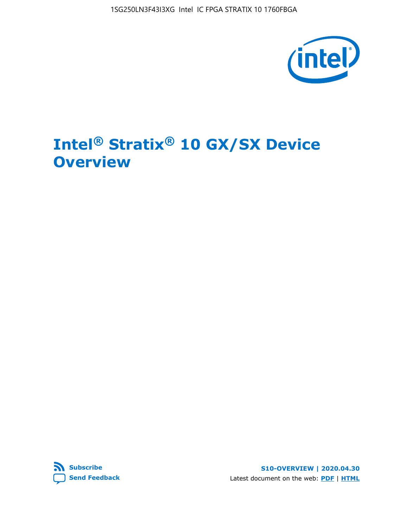

# **Intel® Stratix® 10 GX/SX Device Overview**



**S10-OVERVIEW | 2020.04.30** Latest document on the web: **[PDF](https://www.intel.com/content/dam/www/programmable/us/en/pdfs/literature/hb/stratix-10/s10-overview.pdf)** | **[HTML](https://www.intel.com/content/www/us/en/programmable/documentation/joc1442261161666.html)**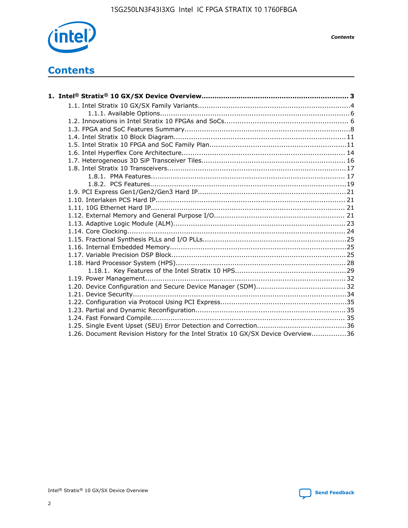

*Contents*

# **Contents**

| 1.26. Document Revision History for the Intel Stratix 10 GX/SX Device Overview36 |  |
|----------------------------------------------------------------------------------|--|

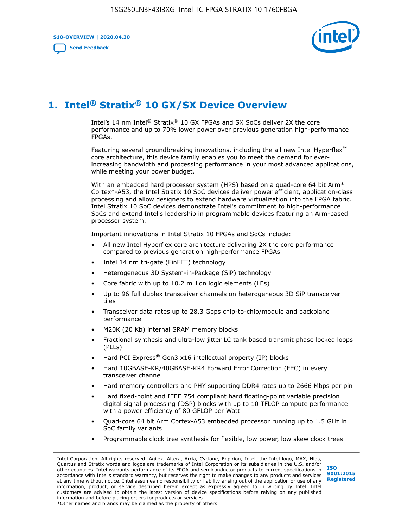**S10-OVERVIEW | 2020.04.30**

**[Send Feedback](mailto:FPGAtechdocfeedback@intel.com?subject=Feedback%20on%20Intel%20Stratix%2010%20GX/SX%20Device%20Overview%20(S10-OVERVIEW%202020.04.30)&body=We%20appreciate%20your%20feedback.%20In%20your%20comments,%20also%20specify%20the%20page%20number%20or%20paragraph.%20Thank%20you.)**



# **1. Intel® Stratix® 10 GX/SX Device Overview**

Intel's 14 nm Intel® Stratix® 10 GX FPGAs and SX SoCs deliver 2X the core performance and up to 70% lower power over previous generation high-performance FPGAs.

Featuring several groundbreaking innovations, including the all new Intel Hyperflex™ core architecture, this device family enables you to meet the demand for everincreasing bandwidth and processing performance in your most advanced applications, while meeting your power budget.

With an embedded hard processor system (HPS) based on a quad-core 64 bit Arm\* Cortex\*-A53, the Intel Stratix 10 SoC devices deliver power efficient, application-class processing and allow designers to extend hardware virtualization into the FPGA fabric. Intel Stratix 10 SoC devices demonstrate Intel's commitment to high-performance SoCs and extend Intel's leadership in programmable devices featuring an Arm-based processor system.

Important innovations in Intel Stratix 10 FPGAs and SoCs include:

- All new Intel Hyperflex core architecture delivering 2X the core performance compared to previous generation high-performance FPGAs
- Intel 14 nm tri-gate (FinFET) technology
- Heterogeneous 3D System-in-Package (SiP) technology
- Core fabric with up to 10.2 million logic elements (LEs)
- Up to 96 full duplex transceiver channels on heterogeneous 3D SiP transceiver tiles
- Transceiver data rates up to 28.3 Gbps chip-to-chip/module and backplane performance
- M20K (20 Kb) internal SRAM memory blocks
- Fractional synthesis and ultra-low jitter LC tank based transmit phase locked loops (PLLs)
- Hard PCI Express<sup>®</sup> Gen3 x16 intellectual property (IP) blocks
- Hard 10GBASE-KR/40GBASE-KR4 Forward Error Correction (FEC) in every transceiver channel
- Hard memory controllers and PHY supporting DDR4 rates up to 2666 Mbps per pin
- Hard fixed-point and IEEE 754 compliant hard floating-point variable precision digital signal processing (DSP) blocks with up to 10 TFLOP compute performance with a power efficiency of 80 GFLOP per Watt
- Quad-core 64 bit Arm Cortex-A53 embedded processor running up to 1.5 GHz in SoC family variants
- Programmable clock tree synthesis for flexible, low power, low skew clock trees

Intel Corporation. All rights reserved. Agilex, Altera, Arria, Cyclone, Enpirion, Intel, the Intel logo, MAX, Nios, Quartus and Stratix words and logos are trademarks of Intel Corporation or its subsidiaries in the U.S. and/or other countries. Intel warrants performance of its FPGA and semiconductor products to current specifications in accordance with Intel's standard warranty, but reserves the right to make changes to any products and services at any time without notice. Intel assumes no responsibility or liability arising out of the application or use of any information, product, or service described herein except as expressly agreed to in writing by Intel. Intel customers are advised to obtain the latest version of device specifications before relying on any published information and before placing orders for products or services. \*Other names and brands may be claimed as the property of others.

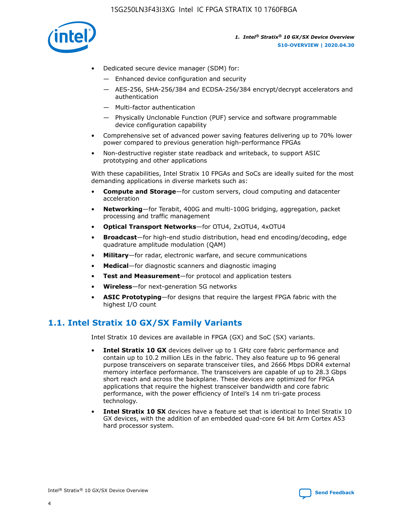

- Dedicated secure device manager (SDM) for:
	- Enhanced device configuration and security
	- AES-256, SHA-256/384 and ECDSA-256/384 encrypt/decrypt accelerators and authentication
	- Multi-factor authentication
	- Physically Unclonable Function (PUF) service and software programmable device configuration capability
- Comprehensive set of advanced power saving features delivering up to 70% lower power compared to previous generation high-performance FPGAs
- Non-destructive register state readback and writeback, to support ASIC prototyping and other applications

With these capabilities, Intel Stratix 10 FPGAs and SoCs are ideally suited for the most demanding applications in diverse markets such as:

- **Compute and Storage**—for custom servers, cloud computing and datacenter acceleration
- **Networking**—for Terabit, 400G and multi-100G bridging, aggregation, packet processing and traffic management
- **Optical Transport Networks**—for OTU4, 2xOTU4, 4xOTU4
- **Broadcast**—for high-end studio distribution, head end encoding/decoding, edge quadrature amplitude modulation (QAM)
- **Military**—for radar, electronic warfare, and secure communications
- **Medical**—for diagnostic scanners and diagnostic imaging
- **Test and Measurement**—for protocol and application testers
- **Wireless**—for next-generation 5G networks
- **ASIC Prototyping**—for designs that require the largest FPGA fabric with the highest I/O count

## **1.1. Intel Stratix 10 GX/SX Family Variants**

Intel Stratix 10 devices are available in FPGA (GX) and SoC (SX) variants.

- **Intel Stratix 10 GX** devices deliver up to 1 GHz core fabric performance and contain up to 10.2 million LEs in the fabric. They also feature up to 96 general purpose transceivers on separate transceiver tiles, and 2666 Mbps DDR4 external memory interface performance. The transceivers are capable of up to 28.3 Gbps short reach and across the backplane. These devices are optimized for FPGA applications that require the highest transceiver bandwidth and core fabric performance, with the power efficiency of Intel's 14 nm tri-gate process technology.
- **Intel Stratix 10 SX** devices have a feature set that is identical to Intel Stratix 10 GX devices, with the addition of an embedded quad-core 64 bit Arm Cortex A53 hard processor system.

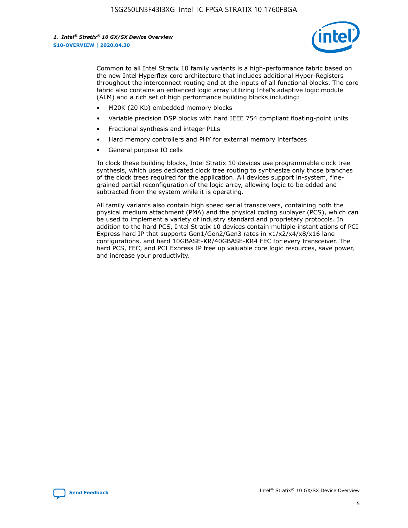

Common to all Intel Stratix 10 family variants is a high-performance fabric based on the new Intel Hyperflex core architecture that includes additional Hyper-Registers throughout the interconnect routing and at the inputs of all functional blocks. The core fabric also contains an enhanced logic array utilizing Intel's adaptive logic module (ALM) and a rich set of high performance building blocks including:

- M20K (20 Kb) embedded memory blocks
- Variable precision DSP blocks with hard IEEE 754 compliant floating-point units
- Fractional synthesis and integer PLLs
- Hard memory controllers and PHY for external memory interfaces
- General purpose IO cells

To clock these building blocks, Intel Stratix 10 devices use programmable clock tree synthesis, which uses dedicated clock tree routing to synthesize only those branches of the clock trees required for the application. All devices support in-system, finegrained partial reconfiguration of the logic array, allowing logic to be added and subtracted from the system while it is operating.

All family variants also contain high speed serial transceivers, containing both the physical medium attachment (PMA) and the physical coding sublayer (PCS), which can be used to implement a variety of industry standard and proprietary protocols. In addition to the hard PCS, Intel Stratix 10 devices contain multiple instantiations of PCI Express hard IP that supports Gen1/Gen2/Gen3 rates in x1/x2/x4/x8/x16 lane configurations, and hard 10GBASE-KR/40GBASE-KR4 FEC for every transceiver. The hard PCS, FEC, and PCI Express IP free up valuable core logic resources, save power, and increase your productivity.

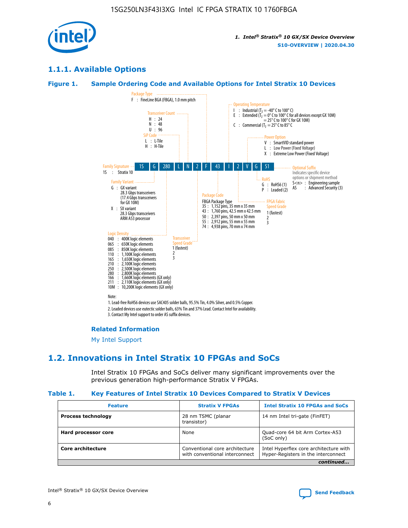

## **1.1.1. Available Options**

## **Figure 1. Sample Ordering Code and Available Options for Intel Stratix 10 Devices**



3. Contact My Intel support to order AS suffix devices.

#### **Related Information**

[My Intel Support](https://www.intel.com/content/www/us/en/programmable/my-intel/mal-home.html)

## **1.2. Innovations in Intel Stratix 10 FPGAs and SoCs**

Intel Stratix 10 FPGAs and SoCs deliver many significant improvements over the previous generation high-performance Stratix V FPGAs.

#### **Table 1. Key Features of Intel Stratix 10 Devices Compared to Stratix V Devices**

| <b>Feature</b>            | <b>Stratix V FPGAs</b>                                           | <b>Intel Stratix 10 FPGAs and SoCs</b>                                        |
|---------------------------|------------------------------------------------------------------|-------------------------------------------------------------------------------|
| <b>Process technology</b> | 28 nm TSMC (planar<br>transistor)                                | 14 nm Intel tri-gate (FinFET)                                                 |
| Hard processor core       | None                                                             | Quad-core 64 bit Arm Cortex-A53<br>(SoC only)                                 |
| Core architecture         | Conventional core architecture<br>with conventional interconnect | Intel Hyperflex core architecture with<br>Hyper-Registers in the interconnect |
|                           |                                                                  | continued                                                                     |

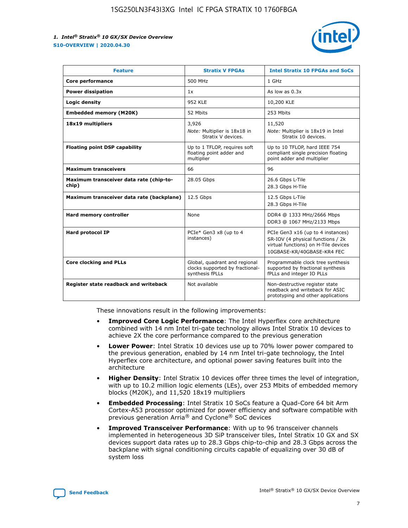

| <b>Feature</b>                                   | <b>Stratix V FPGAs</b>                                                              | <b>Intel Stratix 10 FPGAs and SoCs</b>                                                                                                       |
|--------------------------------------------------|-------------------------------------------------------------------------------------|----------------------------------------------------------------------------------------------------------------------------------------------|
| Core performance                                 | 500 MHz                                                                             | 1 GHz                                                                                                                                        |
| <b>Power dissipation</b>                         | 1x                                                                                  | As low as $0.3x$                                                                                                                             |
| Logic density                                    | 952 KLE                                                                             | 10,200 KLE                                                                                                                                   |
| <b>Embedded memory (M20K)</b>                    | 52 Mbits                                                                            | 253 Mbits                                                                                                                                    |
| 18x19 multipliers                                | 3,926                                                                               | 11,520                                                                                                                                       |
|                                                  | Note: Multiplier is 18x18 in<br>Stratix V devices.                                  | Note: Multiplier is 18x19 in Intel<br>Stratix 10 devices.                                                                                    |
| <b>Floating point DSP capability</b>             | Up to 1 TFLOP, requires soft<br>floating point adder and<br>multiplier              | Up to 10 TFLOP, hard IEEE 754<br>compliant single precision floating<br>point adder and multiplier                                           |
| <b>Maximum transceivers</b>                      | 66                                                                                  | 96                                                                                                                                           |
| Maximum transceiver data rate (chip-to-<br>chip) | 28.05 Gbps                                                                          | 26.6 Gbps L-Tile<br>28.3 Gbps H-Tile                                                                                                         |
| Maximum transceiver data rate (backplane)        | 12.5 Gbps                                                                           | 12.5 Gbps L-Tile<br>28.3 Gbps H-Tile                                                                                                         |
| Hard memory controller                           | None                                                                                | DDR4 @ 1333 MHz/2666 Mbps<br>DDR3 @ 1067 MHz/2133 Mbps                                                                                       |
| <b>Hard protocol IP</b>                          | PCIe* Gen3 x8 (up to 4<br>instances)                                                | PCIe Gen3 x16 (up to 4 instances)<br>SR-IOV (4 physical functions / 2k<br>virtual functions) on H-Tile devices<br>10GBASE-KR/40GBASE-KR4 FEC |
| <b>Core clocking and PLLs</b>                    | Global, quadrant and regional<br>clocks supported by fractional-<br>synthesis fPLLs | Programmable clock tree synthesis<br>supported by fractional synthesis<br>fPLLs and integer IO PLLs                                          |
| Register state readback and writeback            | Not available                                                                       | Non-destructive register state<br>readback and writeback for ASIC<br>prototyping and other applications                                      |

These innovations result in the following improvements:

- **Improved Core Logic Performance**: The Intel Hyperflex core architecture combined with 14 nm Intel tri-gate technology allows Intel Stratix 10 devices to achieve 2X the core performance compared to the previous generation
- **Lower Power**: Intel Stratix 10 devices use up to 70% lower power compared to the previous generation, enabled by 14 nm Intel tri-gate technology, the Intel Hyperflex core architecture, and optional power saving features built into the architecture
- **Higher Density**: Intel Stratix 10 devices offer three times the level of integration, with up to 10.2 million logic elements (LEs), over 253 Mbits of embedded memory blocks (M20K), and 11,520 18x19 multipliers
- **Embedded Processing**: Intel Stratix 10 SoCs feature a Quad-Core 64 bit Arm Cortex-A53 processor optimized for power efficiency and software compatible with previous generation Arria® and Cyclone® SoC devices
- **Improved Transceiver Performance**: With up to 96 transceiver channels implemented in heterogeneous 3D SiP transceiver tiles, Intel Stratix 10 GX and SX devices support data rates up to 28.3 Gbps chip-to-chip and 28.3 Gbps across the backplane with signal conditioning circuits capable of equalizing over 30 dB of system loss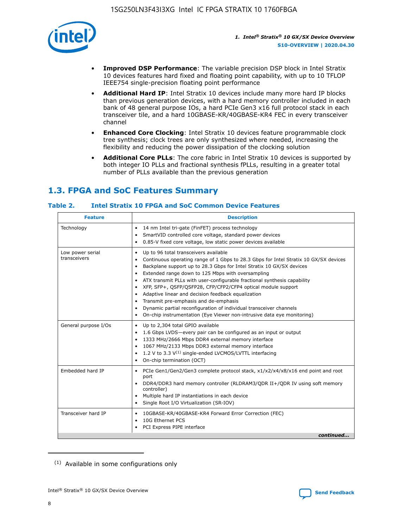

- **Improved DSP Performance**: The variable precision DSP block in Intel Stratix 10 devices features hard fixed and floating point capability, with up to 10 TFLOP IEEE754 single-precision floating point performance
- **Additional Hard IP**: Intel Stratix 10 devices include many more hard IP blocks than previous generation devices, with a hard memory controller included in each bank of 48 general purpose IOs, a hard PCIe Gen3 x16 full protocol stack in each transceiver tile, and a hard 10GBASE-KR/40GBASE-KR4 FEC in every transceiver channel
- **Enhanced Core Clocking**: Intel Stratix 10 devices feature programmable clock tree synthesis; clock trees are only synthesized where needed, increasing the flexibility and reducing the power dissipation of the clocking solution
- **Additional Core PLLs**: The core fabric in Intel Stratix 10 devices is supported by both integer IO PLLs and fractional synthesis fPLLs, resulting in a greater total number of PLLs available than the previous generation

## **1.3. FPGA and SoC Features Summary**

## **Table 2. Intel Stratix 10 FPGA and SoC Common Device Features**

| <b>Feature</b>                   | <b>Description</b>                                                                                                                                                                                                                                                                                                                                                                                                                                                                                                                                                                                                                                                             |
|----------------------------------|--------------------------------------------------------------------------------------------------------------------------------------------------------------------------------------------------------------------------------------------------------------------------------------------------------------------------------------------------------------------------------------------------------------------------------------------------------------------------------------------------------------------------------------------------------------------------------------------------------------------------------------------------------------------------------|
| Technology                       | 14 nm Intel tri-gate (FinFET) process technology<br>٠<br>SmartVID controlled core voltage, standard power devices<br>0.85-V fixed core voltage, low static power devices available                                                                                                                                                                                                                                                                                                                                                                                                                                                                                             |
| Low power serial<br>transceivers | Up to 96 total transceivers available<br>٠<br>Continuous operating range of 1 Gbps to 28.3 Gbps for Intel Stratix 10 GX/SX devices<br>Backplane support up to 28.3 Gbps for Intel Stratix 10 GX/SX devices<br>$\bullet$<br>Extended range down to 125 Mbps with oversampling<br>ATX transmit PLLs with user-configurable fractional synthesis capability<br>٠<br>XFP, SFP+, OSFP/OSFP28, CFP/CFP2/CFP4 optical module support<br>• Adaptive linear and decision feedback equalization<br>Transmit pre-emphasis and de-emphasis<br>Dynamic partial reconfiguration of individual transceiver channels<br>On-chip instrumentation (Eye Viewer non-intrusive data eye monitoring) |
| General purpose I/Os             | Up to 2,304 total GPIO available<br>$\bullet$<br>1.6 Gbps LVDS-every pair can be configured as an input or output<br>1333 MHz/2666 Mbps DDR4 external memory interface<br>1067 MHz/2133 Mbps DDR3 external memory interface<br>• 1.2 V to 3.3 $V^{(1)}$ single-ended LVCMOS/LVTTL interfacing<br>On-chip termination (OCT)                                                                                                                                                                                                                                                                                                                                                     |
| Embedded hard IP                 | • PCIe Gen1/Gen2/Gen3 complete protocol stack, x1/x2/x4/x8/x16 end point and root<br>port<br>DDR4/DDR3 hard memory controller (RLDRAM3/QDR II+/QDR IV using soft memory<br>controller)<br>Multiple hard IP instantiations in each device<br>$\bullet$<br>• Single Root I/O Virtualization (SR-IOV)                                                                                                                                                                                                                                                                                                                                                                             |
| Transceiver hard IP              | 10GBASE-KR/40GBASE-KR4 Forward Error Correction (FEC)<br>$\bullet$<br>10G Ethernet PCS<br>٠<br>PCI Express PIPE interface<br>continued                                                                                                                                                                                                                                                                                                                                                                                                                                                                                                                                         |
|                                  |                                                                                                                                                                                                                                                                                                                                                                                                                                                                                                                                                                                                                                                                                |

<sup>(1)</sup> Available in some configurations only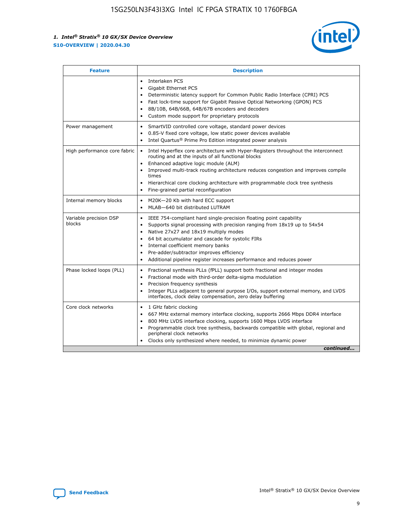

| <b>Feature</b>                   | <b>Description</b>                                                                                                                                                                                                                                                                                                                                                                                                                                            |  |  |  |
|----------------------------------|---------------------------------------------------------------------------------------------------------------------------------------------------------------------------------------------------------------------------------------------------------------------------------------------------------------------------------------------------------------------------------------------------------------------------------------------------------------|--|--|--|
|                                  | Interlaken PCS<br>$\bullet$<br>Gigabit Ethernet PCS<br>$\bullet$<br>Deterministic latency support for Common Public Radio Interface (CPRI) PCS<br>$\bullet$<br>Fast lock-time support for Gigabit Passive Optical Networking (GPON) PCS<br>٠<br>8B/10B, 64B/66B, 64B/67B encoders and decoders<br>Custom mode support for proprietary protocols<br>۰                                                                                                          |  |  |  |
| Power management                 | SmartVID controlled core voltage, standard power devices<br>$\bullet$<br>0.85-V fixed core voltage, low static power devices available<br>$\bullet$<br>Intel Quartus <sup>®</sup> Prime Pro Edition integrated power analysis<br>٠                                                                                                                                                                                                                            |  |  |  |
| High performance core fabric     | Intel Hyperflex core architecture with Hyper-Registers throughout the interconnect<br>routing and at the inputs of all functional blocks<br>Enhanced adaptive logic module (ALM)<br>Improved multi-track routing architecture reduces congestion and improves compile<br>times<br>Hierarchical core clocking architecture with programmable clock tree synthesis<br>$\bullet$<br>Fine-grained partial reconfiguration                                         |  |  |  |
| Internal memory blocks           | M20K-20 Kb with hard ECC support<br>٠<br>MLAB-640 bit distributed LUTRAM<br>$\bullet$                                                                                                                                                                                                                                                                                                                                                                         |  |  |  |
| Variable precision DSP<br>blocks | IEEE 754-compliant hard single-precision floating point capability<br>$\bullet$<br>Supports signal processing with precision ranging from 18x19 up to 54x54<br>$\bullet$<br>Native 27x27 and 18x19 multiply modes<br>٠<br>64 bit accumulator and cascade for systolic FIRs<br>Internal coefficient memory banks<br>Pre-adder/subtractor improves efficiency<br>$\bullet$<br>Additional pipeline register increases performance and reduces power<br>$\bullet$ |  |  |  |
| Phase locked loops (PLL)         | Fractional synthesis PLLs (fPLL) support both fractional and integer modes<br>$\bullet$<br>Fractional mode with third-order delta-sigma modulation<br>Precision frequency synthesis<br>$\bullet$<br>Integer PLLs adjacent to general purpose I/Os, support external memory, and LVDS<br>$\bullet$<br>interfaces, clock delay compensation, zero delay buffering                                                                                               |  |  |  |
| Core clock networks              | 1 GHz fabric clocking<br>٠<br>667 MHz external memory interface clocking, supports 2666 Mbps DDR4 interface<br>$\bullet$<br>800 MHz LVDS interface clocking, supports 1600 Mbps LVDS interface<br>$\bullet$<br>Programmable clock tree synthesis, backwards compatible with global, regional and<br>$\bullet$<br>peripheral clock networks<br>Clocks only synthesized where needed, to minimize dynamic power<br>continued                                    |  |  |  |

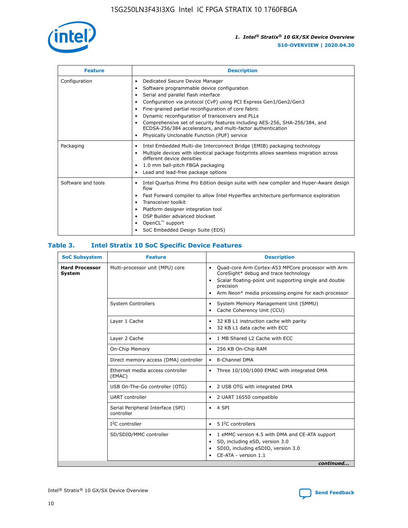

| <b>Feature</b>     | <b>Description</b>                                                                                                                                                                                                                                                                                                                                                                                                                                                                                               |
|--------------------|------------------------------------------------------------------------------------------------------------------------------------------------------------------------------------------------------------------------------------------------------------------------------------------------------------------------------------------------------------------------------------------------------------------------------------------------------------------------------------------------------------------|
| Configuration      | Dedicated Secure Device Manager<br>٠<br>Software programmable device configuration<br>Serial and parallel flash interface<br>Configuration via protocol (CvP) using PCI Express Gen1/Gen2/Gen3<br>Fine-grained partial reconfiguration of core fabric<br>٠<br>Dynamic reconfiguration of transceivers and PLLs<br>٠<br>Comprehensive set of security features including AES-256, SHA-256/384, and<br>ECDSA-256/384 accelerators, and multi-factor authentication<br>Physically Unclonable Function (PUF) service |
| Packaging          | Intel Embedded Multi-die Interconnect Bridge (EMIB) packaging technology<br>٠<br>Multiple devices with identical package footprints allows seamless migration across<br>$\bullet$<br>different device densities<br>1.0 mm ball-pitch FBGA packaging<br>٠<br>Lead and lead-free package options                                                                                                                                                                                                                   |
| Software and tools | Intel Quartus Prime Pro Edition design suite with new compiler and Hyper-Aware design<br>$\bullet$<br>flow<br>Fast Forward compiler to allow Intel Hyperflex architecture performance exploration<br>٠<br>Transceiver toolkit<br>Platform designer integration tool<br>DSP Builder advanced blockset<br>OpenCL <sup>™</sup> support<br>SoC Embedded Design Suite (EDS)                                                                                                                                           |

## **Table 3. Intel Stratix 10 SoC Specific Device Features**

| <b>Hard Processor</b><br>System | Multi-processor unit (MPU) core<br><b>System Controllers</b> | Quad-core Arm Cortex-A53 MPCore processor with Arm<br>$\bullet$<br>CoreSight* debug and trace technology<br>Scalar floating-point unit supporting single and double<br>$\bullet$<br>precision<br>Arm Neon* media processing engine for each processor<br>$\bullet$<br>System Memory Management Unit (SMMU)<br>٠<br>Cache Coherency Unit (CCU)<br>$\bullet$ |
|---------------------------------|--------------------------------------------------------------|------------------------------------------------------------------------------------------------------------------------------------------------------------------------------------------------------------------------------------------------------------------------------------------------------------------------------------------------------------|
|                                 |                                                              |                                                                                                                                                                                                                                                                                                                                                            |
|                                 |                                                              |                                                                                                                                                                                                                                                                                                                                                            |
|                                 | Layer 1 Cache                                                | 32 KB L1 instruction cache with parity<br>$\bullet$<br>32 KB L1 data cache with ECC<br>$\bullet$                                                                                                                                                                                                                                                           |
|                                 | Layer 2 Cache                                                | 1 MB Shared L2 Cache with ECC<br>$\bullet$                                                                                                                                                                                                                                                                                                                 |
|                                 | On-Chip Memory                                               | 256 KB On-Chip RAM<br>٠                                                                                                                                                                                                                                                                                                                                    |
|                                 | Direct memory access (DMA) controller                        | 8-Channel DMA<br>$\bullet$                                                                                                                                                                                                                                                                                                                                 |
| (EMAC)                          | Ethernet media access controller                             | Three 10/100/1000 EMAC with integrated DMA<br>$\bullet$                                                                                                                                                                                                                                                                                                    |
|                                 | USB On-The-Go controller (OTG)                               | 2 USB OTG with integrated DMA<br>$\bullet$                                                                                                                                                                                                                                                                                                                 |
|                                 | <b>UART</b> controller                                       | 2 UART 16550 compatible<br>$\bullet$                                                                                                                                                                                                                                                                                                                       |
|                                 | Serial Peripheral Interface (SPI)<br>controller              | $\bullet$ 4 SPI                                                                                                                                                                                                                                                                                                                                            |
|                                 | $I2C$ controller                                             | 5 I <sup>2</sup> C controllers<br>$\bullet$                                                                                                                                                                                                                                                                                                                |
|                                 | SD/SDIO/MMC controller                                       | 1 eMMC version 4.5 with DMA and CE-ATA support<br>$\bullet$<br>SD, including eSD, version 3.0<br>$\bullet$<br>SDIO, including eSDIO, version 3.0<br>$\bullet$<br>CE-ATA - version 1.1<br>continued                                                                                                                                                         |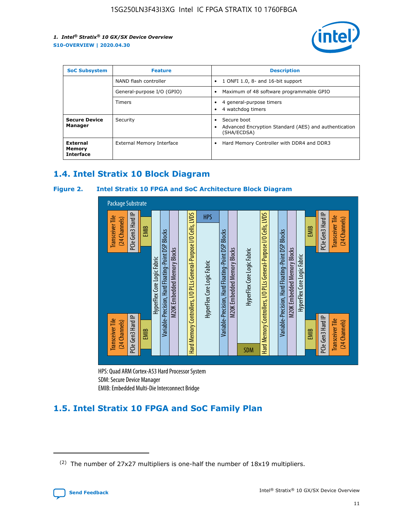

| <b>SoC Subsystem</b>                   | <b>Feature</b>             | <b>Description</b>                                                                                    |  |  |
|----------------------------------------|----------------------------|-------------------------------------------------------------------------------------------------------|--|--|
|                                        | NAND flash controller      | 1 ONFI 1.0, 8- and 16-bit support<br>$\bullet$                                                        |  |  |
|                                        | General-purpose I/O (GPIO) | Maximum of 48 software programmable GPIO<br>$\bullet$                                                 |  |  |
|                                        | Timers                     | 4 general-purpose timers<br>4 watchdog timers<br>٠                                                    |  |  |
| <b>Secure Device</b><br>Manager        | Security                   | Secure boot<br>$\bullet$<br>Advanced Encryption Standard (AES) and authentication<br>٠<br>(SHA/ECDSA) |  |  |
| External<br>Memory<br><b>Interface</b> | External Memory Interface  | Hard Memory Controller with DDR4 and DDR3<br>$\bullet$                                                |  |  |

## **1.4. Intel Stratix 10 Block Diagram**

## **Figure 2. Intel Stratix 10 FPGA and SoC Architecture Block Diagram**



HPS: Quad ARM Cortex-A53 Hard Processor System SDM: Secure Device Manager

# **1.5. Intel Stratix 10 FPGA and SoC Family Plan**

<sup>(2)</sup> The number of 27x27 multipliers is one-half the number of 18x19 multipliers.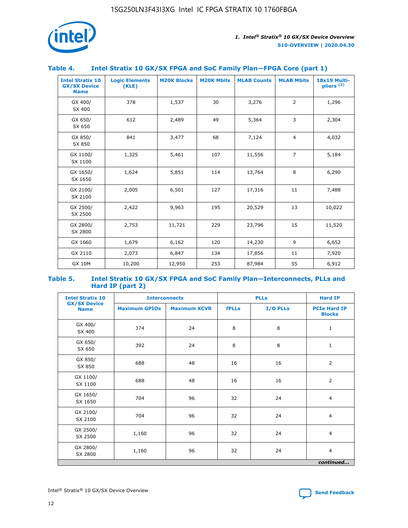

## **Table 4. Intel Stratix 10 GX/SX FPGA and SoC Family Plan—FPGA Core (part 1)**

| <b>Intel Stratix 10</b><br><b>GX/SX Device</b><br><b>Name</b> | <b>Logic Elements</b><br>(KLE) | <b>M20K Blocks</b> | <b>M20K Mbits</b> | <b>MLAB Counts</b> | <b>MLAB Mbits</b> | 18x19 Multi-<br>pliers <sup>(2)</sup> |
|---------------------------------------------------------------|--------------------------------|--------------------|-------------------|--------------------|-------------------|---------------------------------------|
| GX 400/<br>SX 400                                             | 378                            | 1,537              | 30                | 3,276              | 2                 | 1,296                                 |
| GX 650/<br>SX 650                                             | 612                            | 2,489              | 49                | 5,364              | 3                 | 2,304                                 |
| GX 850/<br>SX 850                                             | 841                            | 3,477              | 68                | 7,124              | $\overline{4}$    | 4,032                                 |
| GX 1100/<br>SX 1100                                           | 1,325                          | 5,461              | 107               | 11,556             | $\overline{7}$    | 5,184                                 |
| GX 1650/<br>SX 1650                                           | 1,624                          | 5,851              | 114               | 13,764             | 8                 | 6,290                                 |
| GX 2100/<br>SX 2100                                           | 2,005                          | 6,501              | 127               | 17,316             | 11                | 7,488                                 |
| GX 2500/<br>SX 2500                                           | 2,422                          | 9,963              | 195               | 20,529             | 13                | 10,022                                |
| GX 2800/<br>SX 2800                                           | 2,753                          | 11,721             | 229               | 23,796             | 15                | 11,520                                |
| GX 1660                                                       | 1,679                          | 6,162              | 120               | 14,230             | 9                 | 6,652                                 |
| GX 2110                                                       | 2,073                          | 6,847              | 134               | 17,856             | 11                | 7,920                                 |
| <b>GX 10M</b>                                                 | 10,200                         | 12,950             | 253               | 87,984             | 55                | 6,912                                 |

#### **Table 5. Intel Stratix 10 GX/SX FPGA and SoC Family Plan—Interconnects, PLLs and Hard IP (part 2)**

| <b>Intel Stratix 10</b>            |                      | <b>PLLs</b><br><b>Interconnects</b> |              |          |                                      |  |
|------------------------------------|----------------------|-------------------------------------|--------------|----------|--------------------------------------|--|
| <b>GX/SX Device</b><br><b>Name</b> | <b>Maximum GPIOs</b> | <b>Maximum XCVR</b>                 | <b>fPLLs</b> | I/O PLLs | <b>PCIe Hard IP</b><br><b>Blocks</b> |  |
| GX 400/<br>SX 400                  | 374                  | 24                                  | 8            | 8        | $\mathbf{1}$                         |  |
| GX 650/<br>SX 650                  | 392                  | 24                                  | 8            | 8        | $\mathbf{1}$                         |  |
| GX 850/<br>SX 850                  | 688                  | 48                                  | 16           | 16       | 2                                    |  |
| GX 1100/<br>SX 1100                | 688                  | 48                                  | 16           | 16       | 2                                    |  |
| GX 1650/<br>SX 1650                | 704                  | 96                                  | 32           | 24       | $\overline{4}$                       |  |
| GX 2100/<br>SX 2100                | 704                  | 96                                  | 32           | 24       | $\overline{4}$                       |  |
| GX 2500/<br>SX 2500                | 1,160                | 96                                  | 32           | 24       | $\overline{4}$                       |  |
| GX 2800/<br>SX 2800                | 1,160                | 96                                  | 32           | 24       | $\overline{4}$                       |  |
| continued                          |                      |                                     |              |          |                                      |  |

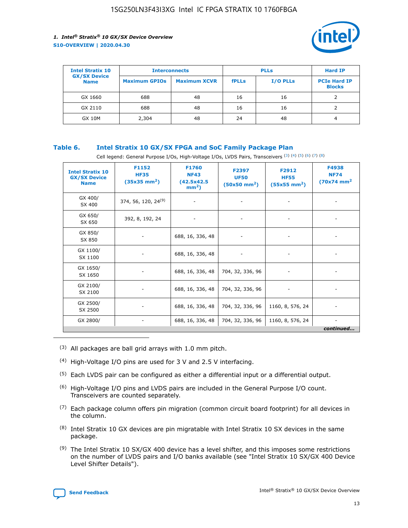

| <b>Intel Stratix 10</b>            | <b>Interconnects</b> |                     |              | <b>Hard IP</b>  |                                      |
|------------------------------------|----------------------|---------------------|--------------|-----------------|--------------------------------------|
| <b>GX/SX Device</b><br><b>Name</b> | <b>Maximum GPIOs</b> | <b>Maximum XCVR</b> | <b>fPLLs</b> | <b>I/O PLLs</b> | <b>PCIe Hard IP</b><br><b>Blocks</b> |
| GX 1660                            | 688                  | 48                  | 16           | 16              |                                      |
| GX 2110                            | 688                  | 48                  | 16           | 16              |                                      |
| <b>GX 10M</b>                      | 2,304                | 48                  | 24           | 48              | 4                                    |

## **Table 6. Intel Stratix 10 GX/SX FPGA and SoC Family Package Plan**

Cell legend: General Purpose I/Os, High-Voltage I/Os, LVDS Pairs, Transceivers (3) (4) (5) (6) (7) (8)

| <b>Intel Stratix 10</b><br><b>GX/SX Device</b><br><b>Name</b> | F1152<br><b>HF35</b><br>$(35x35 \text{ mm}^2)$ | <b>F1760</b><br><b>NF43</b><br>(42.5x42.5<br>$mm2$ ) | F2397<br><b>UF50</b><br>$(50x50 \text{ mm}^2)$ | F2912<br><b>HF55</b><br>$(55x55 \text{ mm}^2)$ | F4938<br><b>NF74</b><br>$(70x74)$ mm <sup>2</sup> |
|---------------------------------------------------------------|------------------------------------------------|------------------------------------------------------|------------------------------------------------|------------------------------------------------|---------------------------------------------------|
| GX 400/<br>SX 400                                             | 374, 56, 120, 24 <sup>(9)</sup>                | $\overline{\phantom{a}}$                             | $\overline{\phantom{a}}$                       |                                                |                                                   |
| GX 650/<br>SX 650                                             | 392, 8, 192, 24                                |                                                      |                                                |                                                |                                                   |
| GX 850/<br>SX 850                                             |                                                | 688, 16, 336, 48                                     |                                                |                                                |                                                   |
| GX 1100/<br>SX 1100                                           |                                                | 688, 16, 336, 48                                     |                                                |                                                |                                                   |
| GX 1650/<br>SX 1650                                           |                                                | 688, 16, 336, 48                                     | 704, 32, 336, 96                               |                                                |                                                   |
| GX 2100/<br>SX 2100                                           |                                                | 688, 16, 336, 48                                     | 704, 32, 336, 96                               |                                                |                                                   |
| GX 2500/<br>SX 2500                                           |                                                | 688, 16, 336, 48                                     | 704, 32, 336, 96                               | 1160, 8, 576, 24                               |                                                   |
| GX 2800/                                                      |                                                | 688, 16, 336, 48                                     | 704, 32, 336, 96                               | 1160, 8, 576, 24                               | $\overline{\phantom{a}}$<br>continued             |

- (3) All packages are ball grid arrays with 1.0 mm pitch.
- (4) High-Voltage I/O pins are used for 3 V and 2.5 V interfacing.
- $(5)$  Each LVDS pair can be configured as either a differential input or a differential output.
- (6) High-Voltage I/O pins and LVDS pairs are included in the General Purpose I/O count. Transceivers are counted separately.
- $(7)$  Each package column offers pin migration (common circuit board footprint) for all devices in the column.
- $(8)$  Intel Stratix 10 GX devices are pin migratable with Intel Stratix 10 SX devices in the same package.
- $(9)$  The Intel Stratix 10 SX/GX 400 device has a level shifter, and this imposes some restrictions on the number of LVDS pairs and I/O banks available (see "Intel Stratix 10 SX/GX 400 Device Level Shifter Details").

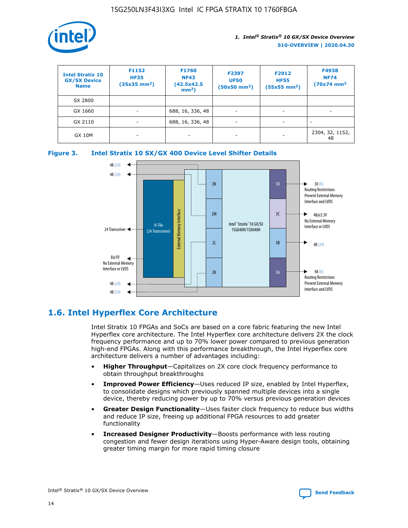

| <b>Intel Stratix 10</b><br><b>GX/SX Device</b><br><b>Name</b> | F1152<br><b>HF35</b><br>$(35x35)$ mm <sup>2</sup> ) | <b>F1760</b><br><b>NF43</b><br>(42.5x42.5<br>$mm2$ ) | F2397<br><b>UF50</b><br>$(50x50 \text{ mm}^2)$ | F2912<br><b>HF55</b><br>$(55x55$ mm <sup>2</sup> ) | F4938<br><b>NF74</b><br>$(70x74)$ mm <sup>2</sup> |
|---------------------------------------------------------------|-----------------------------------------------------|------------------------------------------------------|------------------------------------------------|----------------------------------------------------|---------------------------------------------------|
| SX 2800                                                       |                                                     |                                                      |                                                |                                                    |                                                   |
| GX 1660                                                       | ٠                                                   | 688, 16, 336, 48                                     | ٠                                              |                                                    |                                                   |
| GX 2110                                                       | $\overline{\phantom{a}}$                            | 688, 16, 336, 48                                     | -                                              | ۰                                                  |                                                   |
| <b>GX 10M</b>                                                 | ۰                                                   | $\overline{\phantom{a}}$                             |                                                |                                                    | 2304, 32, 1152,<br>48                             |

**Figure 3. Intel Stratix 10 SX/GX 400 Device Level Shifter Details**



## **1.6. Intel Hyperflex Core Architecture**

Intel Stratix 10 FPGAs and SoCs are based on a core fabric featuring the new Intel Hyperflex core architecture. The Intel Hyperflex core architecture delivers 2X the clock frequency performance and up to 70% lower power compared to previous generation high-end FPGAs. Along with this performance breakthrough, the Intel Hyperflex core architecture delivers a number of advantages including:

- **Higher Throughput**—Capitalizes on 2X core clock frequency performance to obtain throughput breakthroughs
- **Improved Power Efficiency**—Uses reduced IP size, enabled by Intel Hyperflex, to consolidate designs which previously spanned multiple devices into a single device, thereby reducing power by up to 70% versus previous generation devices
- **Greater Design Functionality**—Uses faster clock frequency to reduce bus widths and reduce IP size, freeing up additional FPGA resources to add greater functionality
- **Increased Designer Productivity**—Boosts performance with less routing congestion and fewer design iterations using Hyper-Aware design tools, obtaining greater timing margin for more rapid timing closure

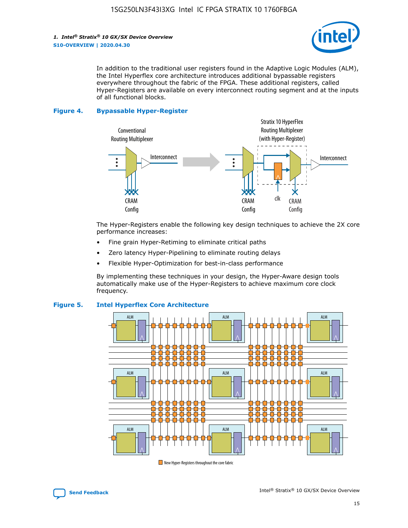

In addition to the traditional user registers found in the Adaptive Logic Modules (ALM), the Intel Hyperflex core architecture introduces additional bypassable registers everywhere throughout the fabric of the FPGA. These additional registers, called Hyper-Registers are available on every interconnect routing segment and at the inputs of all functional blocks.

#### **Figure 4. Bypassable Hyper-Register**



The Hyper-Registers enable the following key design techniques to achieve the 2X core performance increases:

- Fine grain Hyper-Retiming to eliminate critical paths
- Zero latency Hyper-Pipelining to eliminate routing delays
- Flexible Hyper-Optimization for best-in-class performance

By implementing these techniques in your design, the Hyper-Aware design tools automatically make use of the Hyper-Registers to achieve maximum core clock frequency.



## **Figure 5. Intel Hyperflex Core Architecture**

New Hyper-Registers throughout the core fabric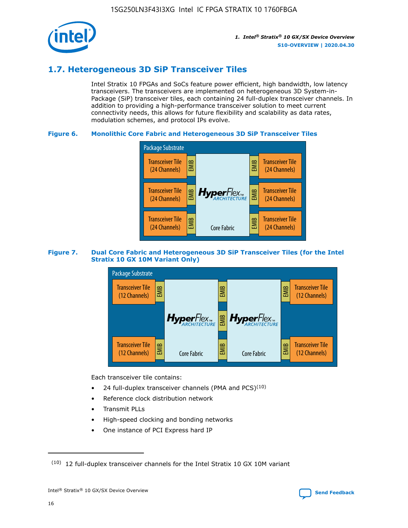

## **1.7. Heterogeneous 3D SiP Transceiver Tiles**

Intel Stratix 10 FPGAs and SoCs feature power efficient, high bandwidth, low latency transceivers. The transceivers are implemented on heterogeneous 3D System-in-Package (SiP) transceiver tiles, each containing 24 full-duplex transceiver channels. In addition to providing a high-performance transceiver solution to meet current connectivity needs, this allows for future flexibility and scalability as data rates, modulation schemes, and protocol IPs evolve.

## **Figure 6. Monolithic Core Fabric and Heterogeneous 3D SiP Transceiver Tiles**



## **Figure 7. Dual Core Fabric and Heterogeneous 3D SiP Transceiver Tiles (for the Intel Stratix 10 GX 10M Variant Only)**



Each transceiver tile contains:

- 24 full-duplex transceiver channels (PMA and PCS) $(10)$
- Reference clock distribution network
- Transmit PLLs
- High-speed clocking and bonding networks
- One instance of PCI Express hard IP

 $(10)$  12 full-duplex transceiver channels for the Intel Stratix 10 GX 10M variant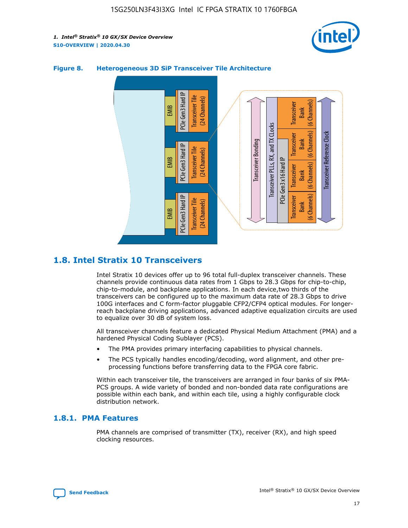



## **Figure 8. Heterogeneous 3D SiP Transceiver Tile Architecture**

## **1.8. Intel Stratix 10 Transceivers**

Intel Stratix 10 devices offer up to 96 total full-duplex transceiver channels. These channels provide continuous data rates from 1 Gbps to 28.3 Gbps for chip-to-chip, chip-to-module, and backplane applications. In each device,two thirds of the transceivers can be configured up to the maximum data rate of 28.3 Gbps to drive 100G interfaces and C form-factor pluggable CFP2/CFP4 optical modules. For longerreach backplane driving applications, advanced adaptive equalization circuits are used to equalize over 30 dB of system loss.

All transceiver channels feature a dedicated Physical Medium Attachment (PMA) and a hardened Physical Coding Sublayer (PCS).

- The PMA provides primary interfacing capabilities to physical channels.
- The PCS typically handles encoding/decoding, word alignment, and other preprocessing functions before transferring data to the FPGA core fabric.

Within each transceiver tile, the transceivers are arranged in four banks of six PMA-PCS groups. A wide variety of bonded and non-bonded data rate configurations are possible within each bank, and within each tile, using a highly configurable clock distribution network.

## **1.8.1. PMA Features**

PMA channels are comprised of transmitter (TX), receiver (RX), and high speed clocking resources.

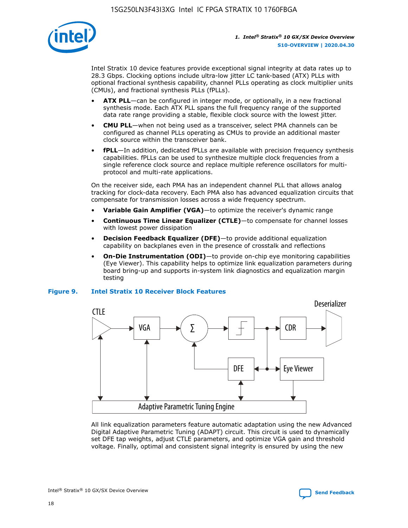

Intel Stratix 10 device features provide exceptional signal integrity at data rates up to 28.3 Gbps. Clocking options include ultra-low jitter LC tank-based (ATX) PLLs with optional fractional synthesis capability, channel PLLs operating as clock multiplier units (CMUs), and fractional synthesis PLLs (fPLLs).

- **ATX PLL**—can be configured in integer mode, or optionally, in a new fractional synthesis mode. Each ATX PLL spans the full frequency range of the supported data rate range providing a stable, flexible clock source with the lowest jitter.
- **CMU PLL**—when not being used as a transceiver, select PMA channels can be configured as channel PLLs operating as CMUs to provide an additional master clock source within the transceiver bank.
- **fPLL**—In addition, dedicated fPLLs are available with precision frequency synthesis capabilities. fPLLs can be used to synthesize multiple clock frequencies from a single reference clock source and replace multiple reference oscillators for multiprotocol and multi-rate applications.

On the receiver side, each PMA has an independent channel PLL that allows analog tracking for clock-data recovery. Each PMA also has advanced equalization circuits that compensate for transmission losses across a wide frequency spectrum.

- **Variable Gain Amplifier (VGA)**—to optimize the receiver's dynamic range
- **Continuous Time Linear Equalizer (CTLE)**—to compensate for channel losses with lowest power dissipation
- **Decision Feedback Equalizer (DFE)**—to provide additional equalization capability on backplanes even in the presence of crosstalk and reflections
- **On-Die Instrumentation (ODI)**—to provide on-chip eye monitoring capabilities (Eye Viewer). This capability helps to optimize link equalization parameters during board bring-up and supports in-system link diagnostics and equalization margin testing

#### **Figure 9. Intel Stratix 10 Receiver Block Features**



All link equalization parameters feature automatic adaptation using the new Advanced Digital Adaptive Parametric Tuning (ADAPT) circuit. This circuit is used to dynamically set DFE tap weights, adjust CTLE parameters, and optimize VGA gain and threshold voltage. Finally, optimal and consistent signal integrity is ensured by using the new



Intel<sup>®</sup> Stratix<sup>®</sup> 10 GX/SX Device Overview **[Send Feedback](mailto:FPGAtechdocfeedback@intel.com?subject=Feedback%20on%20Intel%20Stratix%2010%20GX/SX%20Device%20Overview%20(S10-OVERVIEW%202020.04.30)&body=We%20appreciate%20your%20feedback.%20In%20your%20comments,%20also%20specify%20the%20page%20number%20or%20paragraph.%20Thank%20you.)** Send Feedback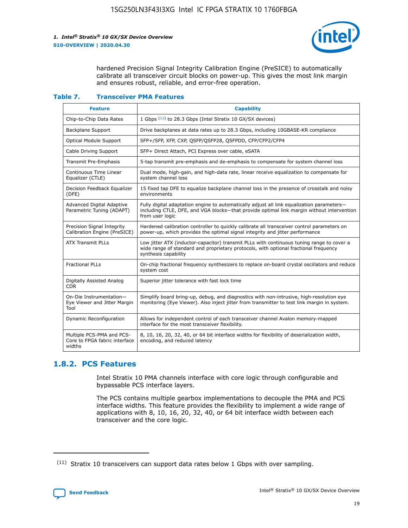

hardened Precision Signal Integrity Calibration Engine (PreSICE) to automatically calibrate all transceiver circuit blocks on power-up. This gives the most link margin and ensures robust, reliable, and error-free operation.

#### **Table 7. Transceiver PMA Features**

| <b>Feature</b>                                                       | <b>Capability</b>                                                                                                                                                                                         |
|----------------------------------------------------------------------|-----------------------------------------------------------------------------------------------------------------------------------------------------------------------------------------------------------|
| Chip-to-Chip Data Rates                                              | 1 Gbps (11) to 28.3 Gbps (Intel Stratix 10 GX/SX devices)                                                                                                                                                 |
| <b>Backplane Support</b>                                             | Drive backplanes at data rates up to 28.3 Gbps, including 10GBASE-KR compliance                                                                                                                           |
| Optical Module Support                                               | SFP+/SFP, XFP, CXP, QSFP/QSFP28, QSFPDD, CFP/CFP2/CFP4                                                                                                                                                    |
| Cable Driving Support                                                | SFP+ Direct Attach, PCI Express over cable, eSATA                                                                                                                                                         |
| <b>Transmit Pre-Emphasis</b>                                         | 5-tap transmit pre-emphasis and de-emphasis to compensate for system channel loss                                                                                                                         |
| Continuous Time Linear<br>Equalizer (CTLE)                           | Dual mode, high-gain, and high-data rate, linear receive equalization to compensate for<br>system channel loss                                                                                            |
| Decision Feedback Equalizer<br>(DFE)                                 | 15 fixed tap DFE to equalize backplane channel loss in the presence of crosstalk and noisy<br>environments                                                                                                |
| Advanced Digital Adaptive<br>Parametric Tuning (ADAPT)               | Fully digital adaptation engine to automatically adjust all link equalization parameters-<br>including CTLE, DFE, and VGA blocks-that provide optimal link margin without intervention<br>from user logic |
| Precision Signal Integrity<br>Calibration Engine (PreSICE)           | Hardened calibration controller to quickly calibrate all transceiver control parameters on<br>power-up, which provides the optimal signal integrity and jitter performance                                |
| <b>ATX Transmit PLLs</b>                                             | Low jitter ATX (inductor-capacitor) transmit PLLs with continuous tuning range to cover a<br>wide range of standard and proprietary protocols, with optional fractional frequency<br>synthesis capability |
| <b>Fractional PLLs</b>                                               | On-chip fractional frequency synthesizers to replace on-board crystal oscillators and reduce<br>system cost                                                                                               |
| Digitally Assisted Analog<br>CDR.                                    | Superior jitter tolerance with fast lock time                                                                                                                                                             |
| On-Die Instrumentation-<br>Eye Viewer and Jitter Margin<br>Tool      | Simplify board bring-up, debug, and diagnostics with non-intrusive, high-resolution eye<br>monitoring (Eye Viewer). Also inject jitter from transmitter to test link margin in system.                    |
| Dynamic Reconfiguration                                              | Allows for independent control of each transceiver channel Avalon memory-mapped<br>interface for the most transceiver flexibility.                                                                        |
| Multiple PCS-PMA and PCS-<br>Core to FPGA fabric interface<br>widths | 8, 10, 16, 20, 32, 40, or 64 bit interface widths for flexibility of deserialization width,<br>encoding, and reduced latency                                                                              |

## **1.8.2. PCS Features**

Intel Stratix 10 PMA channels interface with core logic through configurable and bypassable PCS interface layers.

The PCS contains multiple gearbox implementations to decouple the PMA and PCS interface widths. This feature provides the flexibility to implement a wide range of applications with 8, 10, 16, 20, 32, 40, or 64 bit interface width between each transceiver and the core logic.

 $(11)$  Stratix 10 transceivers can support data rates below 1 Gbps with over sampling.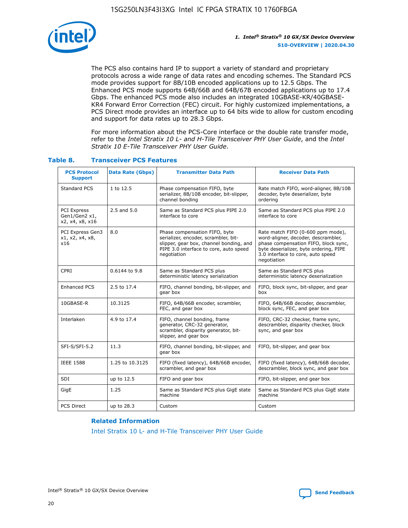

The PCS also contains hard IP to support a variety of standard and proprietary protocols across a wide range of data rates and encoding schemes. The Standard PCS mode provides support for 8B/10B encoded applications up to 12.5 Gbps. The Enhanced PCS mode supports 64B/66B and 64B/67B encoded applications up to 17.4 Gbps. The enhanced PCS mode also includes an integrated 10GBASE-KR/40GBASE-KR4 Forward Error Correction (FEC) circuit. For highly customized implementations, a PCS Direct mode provides an interface up to 64 bits wide to allow for custom encoding and support for data rates up to 28.3 Gbps.

For more information about the PCS-Core interface or the double rate transfer mode, refer to the *Intel Stratix 10 L- and H-Tile Transceiver PHY User Guide*, and the *Intel Stratix 10 E-Tile Transceiver PHY User Guide*.

| <b>PCS Protocol</b><br><b>Support</b>           | <b>Data Rate (Gbps)</b> | <b>Transmitter Data Path</b>                                                                                                                                              | <b>Receiver Data Path</b>                                                                                                                                                                                      |
|-------------------------------------------------|-------------------------|---------------------------------------------------------------------------------------------------------------------------------------------------------------------------|----------------------------------------------------------------------------------------------------------------------------------------------------------------------------------------------------------------|
| Standard PCS                                    | 1 to 12.5               | Phase compensation FIFO, byte<br>serializer, 8B/10B encoder, bit-slipper,<br>channel bonding                                                                              | Rate match FIFO, word-aligner, 8B/10B<br>decoder, byte deserializer, byte<br>ordering                                                                                                                          |
| PCI Express<br>Gen1/Gen2 x1,<br>x2, x4, x8, x16 | $2.5$ and $5.0$         | Same as Standard PCS plus PIPE 2.0<br>interface to core                                                                                                                   | Same as Standard PCS plus PIPE 2.0<br>interface to core                                                                                                                                                        |
| PCI Express Gen3<br>x1, x2, x4, x8,<br>x16      | 8.0                     | Phase compensation FIFO, byte<br>serializer, encoder, scrambler, bit-<br>slipper, gear box, channel bonding, and<br>PIPE 3.0 interface to core, auto speed<br>negotiation | Rate match FIFO (0-600 ppm mode),<br>word-aligner, decoder, descrambler,<br>phase compensation FIFO, block sync,<br>byte deserializer, byte ordering, PIPE<br>3.0 interface to core, auto speed<br>negotiation |
| CPRI                                            | 0.6144 to 9.8           | Same as Standard PCS plus<br>deterministic latency serialization                                                                                                          | Same as Standard PCS plus<br>deterministic latency deserialization                                                                                                                                             |
| <b>Enhanced PCS</b>                             | 2.5 to 17.4             | FIFO, channel bonding, bit-slipper, and<br>gear box                                                                                                                       | FIFO, block sync, bit-slipper, and gear<br>box                                                                                                                                                                 |
| 10GBASE-R                                       | 10.3125                 | FIFO, 64B/66B encoder, scrambler,<br>FEC, and gear box                                                                                                                    | FIFO, 64B/66B decoder, descrambler,<br>block sync, FEC, and gear box                                                                                                                                           |
| Interlaken                                      | 4.9 to 17.4             | FIFO, channel bonding, frame<br>generator, CRC-32 generator,<br>scrambler, disparity generator, bit-<br>slipper, and gear box                                             | FIFO, CRC-32 checker, frame sync,<br>descrambler, disparity checker, block<br>sync, and gear box                                                                                                               |
| SFI-S/SFI-5.2                                   | 11.3                    | FIFO, channel bonding, bit-slipper, and<br>gear box                                                                                                                       | FIFO, bit-slipper, and gear box                                                                                                                                                                                |
| <b>IEEE 1588</b>                                | 1.25 to 10.3125         | FIFO (fixed latency), 64B/66B encoder,<br>scrambler, and gear box                                                                                                         | FIFO (fixed latency), 64B/66B decoder,<br>descrambler, block sync, and gear box                                                                                                                                |
| SDI                                             | up to 12.5              | FIFO and gear box                                                                                                                                                         | FIFO, bit-slipper, and gear box                                                                                                                                                                                |
| GigE                                            | 1.25                    | Same as Standard PCS plus GigE state<br>machine                                                                                                                           | Same as Standard PCS plus GigE state<br>machine                                                                                                                                                                |
| <b>PCS Direct</b>                               | up to 28.3              | Custom                                                                                                                                                                    | Custom                                                                                                                                                                                                         |

## **Table 8. Transceiver PCS Features**

#### **Related Information**

[Intel Stratix 10 L- and H-Tile Transceiver PHY User Guide](https://www.altera.com/documentation/wry1479165198810.html)

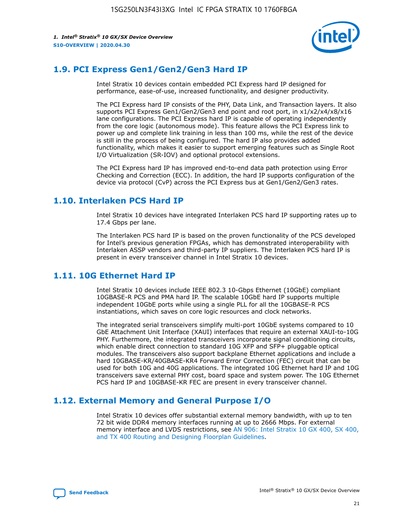

## **1.9. PCI Express Gen1/Gen2/Gen3 Hard IP**

Intel Stratix 10 devices contain embedded PCI Express hard IP designed for performance, ease-of-use, increased functionality, and designer productivity.

The PCI Express hard IP consists of the PHY, Data Link, and Transaction layers. It also supports PCI Express Gen1/Gen2/Gen3 end point and root port, in x1/x2/x4/x8/x16 lane configurations. The PCI Express hard IP is capable of operating independently from the core logic (autonomous mode). This feature allows the PCI Express link to power up and complete link training in less than 100 ms, while the rest of the device is still in the process of being configured. The hard IP also provides added functionality, which makes it easier to support emerging features such as Single Root I/O Virtualization (SR-IOV) and optional protocol extensions.

The PCI Express hard IP has improved end-to-end data path protection using Error Checking and Correction (ECC). In addition, the hard IP supports configuration of the device via protocol (CvP) across the PCI Express bus at Gen1/Gen2/Gen3 rates.

## **1.10. Interlaken PCS Hard IP**

Intel Stratix 10 devices have integrated Interlaken PCS hard IP supporting rates up to 17.4 Gbps per lane.

The Interlaken PCS hard IP is based on the proven functionality of the PCS developed for Intel's previous generation FPGAs, which has demonstrated interoperability with Interlaken ASSP vendors and third-party IP suppliers. The Interlaken PCS hard IP is present in every transceiver channel in Intel Stratix 10 devices.

## **1.11. 10G Ethernet Hard IP**

Intel Stratix 10 devices include IEEE 802.3 10-Gbps Ethernet (10GbE) compliant 10GBASE-R PCS and PMA hard IP. The scalable 10GbE hard IP supports multiple independent 10GbE ports while using a single PLL for all the 10GBASE-R PCS instantiations, which saves on core logic resources and clock networks.

The integrated serial transceivers simplify multi-port 10GbE systems compared to 10 GbE Attachment Unit Interface (XAUI) interfaces that require an external XAUI-to-10G PHY. Furthermore, the integrated transceivers incorporate signal conditioning circuits, which enable direct connection to standard 10G XFP and SFP+ pluggable optical modules. The transceivers also support backplane Ethernet applications and include a hard 10GBASE-KR/40GBASE-KR4 Forward Error Correction (FEC) circuit that can be used for both 10G and 40G applications. The integrated 10G Ethernet hard IP and 10G transceivers save external PHY cost, board space and system power. The 10G Ethernet PCS hard IP and 10GBASE-KR FEC are present in every transceiver channel.

## **1.12. External Memory and General Purpose I/O**

Intel Stratix 10 devices offer substantial external memory bandwidth, with up to ten 72 bit wide DDR4 memory interfaces running at up to 2666 Mbps. For external memory interface and LVDS restrictions, see [AN 906: Intel Stratix 10 GX 400, SX 400,](https://www.intel.com/content/www/us/en/programmable/documentation/sjf1574667190623.html#bft1574667627484) [and TX 400 Routing and Designing Floorplan Guidelines.](https://www.intel.com/content/www/us/en/programmable/documentation/sjf1574667190623.html#bft1574667627484)

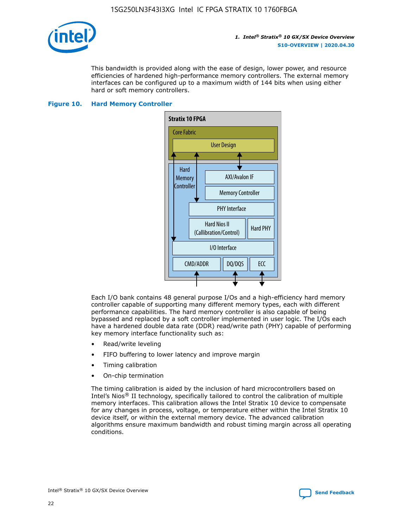

This bandwidth is provided along with the ease of design, lower power, and resource efficiencies of hardened high-performance memory controllers. The external memory interfaces can be configured up to a maximum width of 144 bits when using either hard or soft memory controllers.

## **Figure 10. Hard Memory Controller**



Each I/O bank contains 48 general purpose I/Os and a high-efficiency hard memory controller capable of supporting many different memory types, each with different performance capabilities. The hard memory controller is also capable of being bypassed and replaced by a soft controller implemented in user logic. The I/Os each have a hardened double data rate (DDR) read/write path (PHY) capable of performing key memory interface functionality such as:

- Read/write leveling
- FIFO buffering to lower latency and improve margin
- Timing calibration
- On-chip termination

The timing calibration is aided by the inclusion of hard microcontrollers based on Intel's Nios® II technology, specifically tailored to control the calibration of multiple memory interfaces. This calibration allows the Intel Stratix 10 device to compensate for any changes in process, voltage, or temperature either within the Intel Stratix 10 device itself, or within the external memory device. The advanced calibration algorithms ensure maximum bandwidth and robust timing margin across all operating conditions.

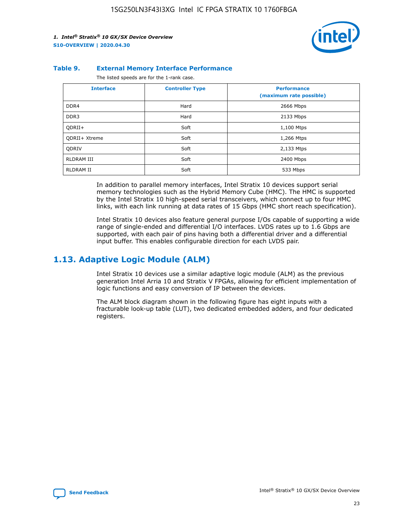

#### **Table 9. External Memory Interface Performance**

The listed speeds are for the 1-rank case.

| <b>Interface</b> | <b>Controller Type</b> | <b>Performance</b><br>(maximum rate possible) |
|------------------|------------------------|-----------------------------------------------|
| DDR4             | Hard                   | 2666 Mbps                                     |
| DDR <sub>3</sub> | Hard                   | 2133 Mbps                                     |
| QDRII+           | Soft                   | 1,100 Mtps                                    |
| QDRII+ Xtreme    | Soft                   | 1,266 Mtps                                    |
| <b>ODRIV</b>     | Soft                   | 2,133 Mtps                                    |
| RLDRAM III       | Soft                   | 2400 Mbps                                     |
| <b>RLDRAM II</b> | Soft                   | 533 Mbps                                      |

In addition to parallel memory interfaces, Intel Stratix 10 devices support serial memory technologies such as the Hybrid Memory Cube (HMC). The HMC is supported by the Intel Stratix 10 high-speed serial transceivers, which connect up to four HMC links, with each link running at data rates of 15 Gbps (HMC short reach specification).

Intel Stratix 10 devices also feature general purpose I/Os capable of supporting a wide range of single-ended and differential I/O interfaces. LVDS rates up to 1.6 Gbps are supported, with each pair of pins having both a differential driver and a differential input buffer. This enables configurable direction for each LVDS pair.

## **1.13. Adaptive Logic Module (ALM)**

Intel Stratix 10 devices use a similar adaptive logic module (ALM) as the previous generation Intel Arria 10 and Stratix V FPGAs, allowing for efficient implementation of logic functions and easy conversion of IP between the devices.

The ALM block diagram shown in the following figure has eight inputs with a fracturable look-up table (LUT), two dedicated embedded adders, and four dedicated registers.

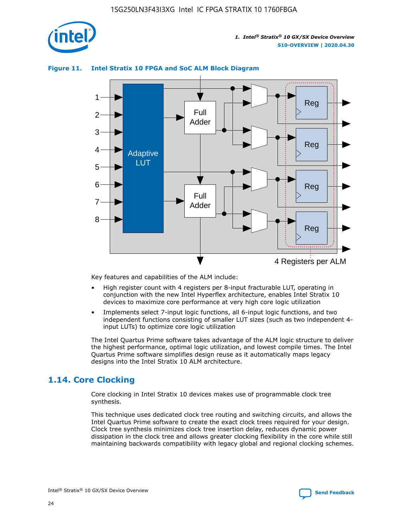

## **Figure 11. Intel Stratix 10 FPGA and SoC ALM Block Diagram**



Key features and capabilities of the ALM include:

- High register count with 4 registers per 8-input fracturable LUT, operating in conjunction with the new Intel Hyperflex architecture, enables Intel Stratix 10 devices to maximize core performance at very high core logic utilization
- Implements select 7-input logic functions, all 6-input logic functions, and two independent functions consisting of smaller LUT sizes (such as two independent 4 input LUTs) to optimize core logic utilization

The Intel Quartus Prime software takes advantage of the ALM logic structure to deliver the highest performance, optimal logic utilization, and lowest compile times. The Intel Quartus Prime software simplifies design reuse as it automatically maps legacy designs into the Intel Stratix 10 ALM architecture.

## **1.14. Core Clocking**

Core clocking in Intel Stratix 10 devices makes use of programmable clock tree synthesis.

This technique uses dedicated clock tree routing and switching circuits, and allows the Intel Quartus Prime software to create the exact clock trees required for your design. Clock tree synthesis minimizes clock tree insertion delay, reduces dynamic power dissipation in the clock tree and allows greater clocking flexibility in the core while still maintaining backwards compatibility with legacy global and regional clocking schemes.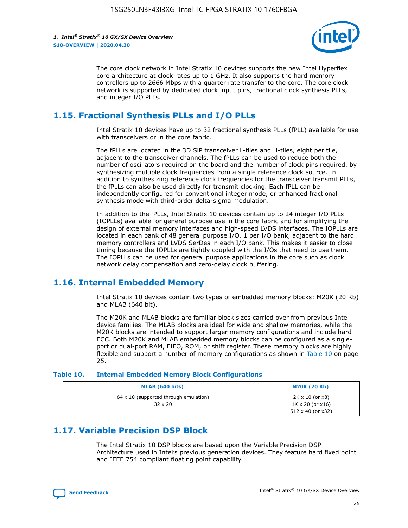

The core clock network in Intel Stratix 10 devices supports the new Intel Hyperflex core architecture at clock rates up to 1 GHz. It also supports the hard memory controllers up to 2666 Mbps with a quarter rate transfer to the core. The core clock network is supported by dedicated clock input pins, fractional clock synthesis PLLs, and integer I/O PLLs.

## **1.15. Fractional Synthesis PLLs and I/O PLLs**

Intel Stratix 10 devices have up to 32 fractional synthesis PLLs (fPLL) available for use with transceivers or in the core fabric.

The fPLLs are located in the 3D SiP transceiver L-tiles and H-tiles, eight per tile, adjacent to the transceiver channels. The fPLLs can be used to reduce both the number of oscillators required on the board and the number of clock pins required, by synthesizing multiple clock frequencies from a single reference clock source. In addition to synthesizing reference clock frequencies for the transceiver transmit PLLs, the fPLLs can also be used directly for transmit clocking. Each fPLL can be independently configured for conventional integer mode, or enhanced fractional synthesis mode with third-order delta-sigma modulation.

In addition to the fPLLs, Intel Stratix 10 devices contain up to 24 integer I/O PLLs (IOPLLs) available for general purpose use in the core fabric and for simplifying the design of external memory interfaces and high-speed LVDS interfaces. The IOPLLs are located in each bank of 48 general purpose I/O, 1 per I/O bank, adjacent to the hard memory controllers and LVDS SerDes in each I/O bank. This makes it easier to close timing because the IOPLLs are tightly coupled with the I/Os that need to use them. The IOPLLs can be used for general purpose applications in the core such as clock network delay compensation and zero-delay clock buffering.

## **1.16. Internal Embedded Memory**

Intel Stratix 10 devices contain two types of embedded memory blocks: M20K (20 Kb) and MLAB (640 bit).

The M20K and MLAB blocks are familiar block sizes carried over from previous Intel device families. The MLAB blocks are ideal for wide and shallow memories, while the M20K blocks are intended to support larger memory configurations and include hard ECC. Both M20K and MLAB embedded memory blocks can be configured as a singleport or dual-port RAM, FIFO, ROM, or shift register. These memory blocks are highly flexible and support a number of memory configurations as shown in Table 10 on page 25.

#### **Table 10. Internal Embedded Memory Block Configurations**

| MLAB (640 bits)                                                | <b>M20K (20 Kb)</b>                                                                    |
|----------------------------------------------------------------|----------------------------------------------------------------------------------------|
| $64 \times 10$ (supported through emulation)<br>$32 \times 20$ | $2K \times 10$ (or $x8$ )<br>$1K \times 20$ (or $x16$ )<br>$512 \times 40$ (or $x32$ ) |

## **1.17. Variable Precision DSP Block**

The Intel Stratix 10 DSP blocks are based upon the Variable Precision DSP Architecture used in Intel's previous generation devices. They feature hard fixed point and IEEE 754 compliant floating point capability.

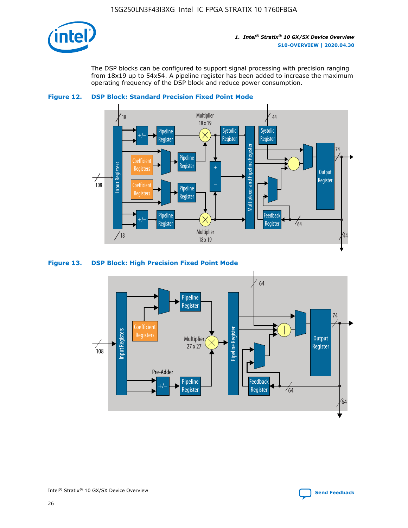

The DSP blocks can be configured to support signal processing with precision ranging from 18x19 up to 54x54. A pipeline register has been added to increase the maximum operating frequency of the DSP block and reduce power consumption.





## **Figure 13. DSP Block: High Precision Fixed Point Mode**

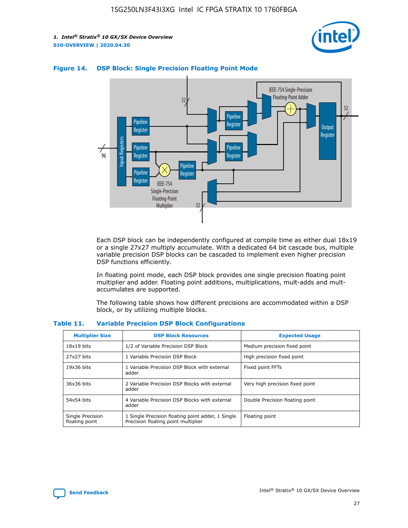



## **Figure 14. DSP Block: Single Precision Floating Point Mode**

Each DSP block can be independently configured at compile time as either dual 18x19 or a single 27x27 multiply accumulate. With a dedicated 64 bit cascade bus, multiple variable precision DSP blocks can be cascaded to implement even higher precision DSP functions efficiently.

In floating point mode, each DSP block provides one single precision floating point multiplier and adder. Floating point additions, multiplications, mult-adds and multaccumulates are supported.

The following table shows how different precisions are accommodated within a DSP block, or by utilizing multiple blocks.

| <b>Multiplier Size</b>             | <b>DSP Block Resources</b>                                                               | <b>Expected Usage</b>           |
|------------------------------------|------------------------------------------------------------------------------------------|---------------------------------|
| $18x19$ bits                       | 1/2 of Variable Precision DSP Block                                                      | Medium precision fixed point    |
| 27x27 bits                         | 1 Variable Precision DSP Block                                                           | High precision fixed point      |
| $19x36$ bits                       | 1 Variable Precision DSP Block with external<br>adder                                    | Fixed point FFTs                |
| 36x36 bits                         | 2 Variable Precision DSP Blocks with external<br>adder                                   | Very high precision fixed point |
| 54x54 bits                         | 4 Variable Precision DSP Blocks with external<br>adder                                   | Double Precision floating point |
| Single Precision<br>floating point | 1 Single Precision floating point adder, 1 Single<br>Precision floating point multiplier | Floating point                  |

#### **Table 11. Variable Precision DSP Block Configurations**

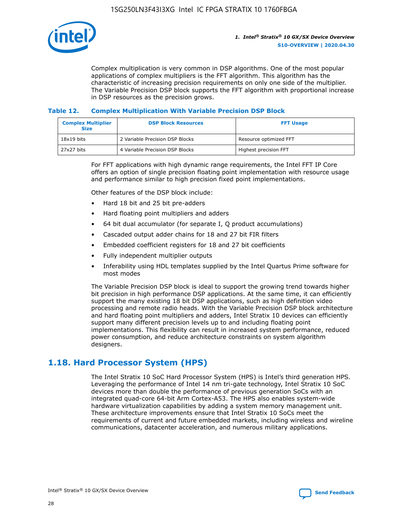

Complex multiplication is very common in DSP algorithms. One of the most popular applications of complex multipliers is the FFT algorithm. This algorithm has the characteristic of increasing precision requirements on only one side of the multiplier. The Variable Precision DSP block supports the FFT algorithm with proportional increase in DSP resources as the precision grows.

## **Table 12. Complex Multiplication With Variable Precision DSP Block**

| <b>Complex Multiplier</b><br><b>Size</b> | <b>DSP Block Resources</b>      | <b>FFT Usage</b>       |
|------------------------------------------|---------------------------------|------------------------|
| $18x19$ bits                             | 2 Variable Precision DSP Blocks | Resource optimized FFT |
| 27x27 bits                               | 4 Variable Precision DSP Blocks | Highest precision FFT  |

For FFT applications with high dynamic range requirements, the Intel FFT IP Core offers an option of single precision floating point implementation with resource usage and performance similar to high precision fixed point implementations.

Other features of the DSP block include:

- Hard 18 bit and 25 bit pre-adders
- Hard floating point multipliers and adders
- 64 bit dual accumulator (for separate I, Q product accumulations)
- Cascaded output adder chains for 18 and 27 bit FIR filters
- Embedded coefficient registers for 18 and 27 bit coefficients
- Fully independent multiplier outputs
- Inferability using HDL templates supplied by the Intel Quartus Prime software for most modes

The Variable Precision DSP block is ideal to support the growing trend towards higher bit precision in high performance DSP applications. At the same time, it can efficiently support the many existing 18 bit DSP applications, such as high definition video processing and remote radio heads. With the Variable Precision DSP block architecture and hard floating point multipliers and adders, Intel Stratix 10 devices can efficiently support many different precision levels up to and including floating point implementations. This flexibility can result in increased system performance, reduced power consumption, and reduce architecture constraints on system algorithm designers.

## **1.18. Hard Processor System (HPS)**

The Intel Stratix 10 SoC Hard Processor System (HPS) is Intel's third generation HPS. Leveraging the performance of Intel 14 nm tri-gate technology, Intel Stratix 10 SoC devices more than double the performance of previous generation SoCs with an integrated quad-core 64-bit Arm Cortex-A53. The HPS also enables system-wide hardware virtualization capabilities by adding a system memory management unit. These architecture improvements ensure that Intel Stratix 10 SoCs meet the requirements of current and future embedded markets, including wireless and wireline communications, datacenter acceleration, and numerous military applications.

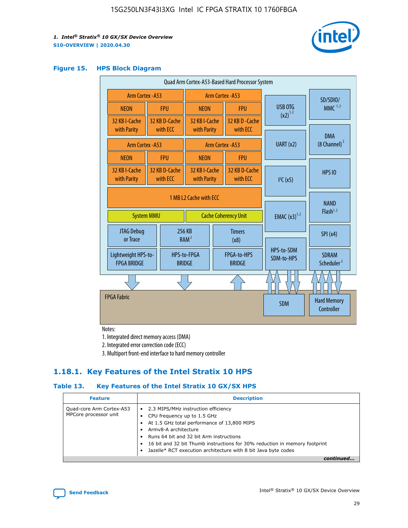

#### **Figure 15. HPS Block Diagram**

| Quad Arm Cortex-A53-Based Hard Processor System |                                                                            |                           |                                           |                          |                                     |                          |                                        |
|-------------------------------------------------|----------------------------------------------------------------------------|---------------------------|-------------------------------------------|--------------------------|-------------------------------------|--------------------------|----------------------------------------|
| Arm Cortex - A53                                |                                                                            |                           | Arm Cortex - A53                          |                          |                                     |                          | SD/SDIO/                               |
| <b>NEON</b>                                     |                                                                            | <b>FPU</b>                | <b>NEON</b>                               |                          | <b>FPU</b>                          | <b>USB OTG</b>           | $MMC$ <sup>1,2</sup>                   |
| 32 KB I-Cache<br>with Parity                    |                                                                            | 32 KB D-Cache<br>with ECC | 32 KB I-Cache<br>with Parity              |                          | 32 KB D-Cache<br>with ECC           | $(x2)^{1,2}$             |                                        |
|                                                 | Arm Cortex - A53                                                           |                           |                                           |                          | Arm Cortex - A53                    | UART (x2)                | <b>DMA</b><br>$(8 \text{ Channel})^2$  |
| <b>NEON</b>                                     |                                                                            | <b>FPU</b>                | <b>NEON</b>                               |                          | <b>FPU</b>                          |                          |                                        |
| 32 KB I-Cache<br>with Parity                    |                                                                            | 32 KB D-Cache<br>with ECC | 32 KB I-Cache<br>with Parity              |                          | 32 KB D-Cache<br>with ECC           | I <sup>2</sup> C(x5)     | <b>HPS 10</b>                          |
|                                                 | 1 MB L2 Cache with ECC<br><b>System MMU</b><br><b>Cache Coherency Unit</b> |                           |                                           | <b>EMAC</b> $(x3)^{1,2}$ | <b>NAND</b><br>Flash <sup>1,2</sup> |                          |                                        |
| JTAG Debug<br>or Trace                          |                                                                            | 256 KB                    | <b>Timers</b><br>RAM <sup>2</sup><br>(x8) |                          |                                     |                          | SPI(x4)                                |
| Lightweight HPS-to-<br><b>FPGA BRIDGE</b>       |                                                                            |                           | HPS-to-FPGA<br><b>BRIDGE</b>              |                          | FPGA-to-HPS<br><b>BRIDGE</b>        | HPS-to-SDM<br>SDM-to-HPS | <b>SDRAM</b><br>Scheduler <sup>3</sup> |
|                                                 |                                                                            |                           |                                           |                          |                                     |                          |                                        |
| <b>FPGA Fabric</b>                              |                                                                            |                           |                                           |                          |                                     | <b>SDM</b>               | <b>Hard Memory</b><br>Controller       |

Notes:

1. Integrated direct memory access (DMA)

2. Integrated error correction code (ECC)

3. Multiport front-end interface to hard memory controller

## **1.18.1. Key Features of the Intel Stratix 10 HPS**

## **Table 13. Key Features of the Intel Stratix 10 GX/SX HPS**

| <b>Feature</b>                                    | <b>Description</b>                                                                                                                                                                                                                                                                                                                                     |
|---------------------------------------------------|--------------------------------------------------------------------------------------------------------------------------------------------------------------------------------------------------------------------------------------------------------------------------------------------------------------------------------------------------------|
| Quad-core Arm Cortex-A53<br>MPCore processor unit | 2.3 MIPS/MHz instruction efficiency<br>$\bullet$<br>CPU frequency up to 1.5 GHz<br>٠<br>At 1.5 GHz total performance of 13,800 MIPS<br>Army8-A architecture<br>Runs 64 bit and 32 bit Arm instructions<br>16 bit and 32 bit Thumb instructions for 30% reduction in memory footprint<br>Jazelle* RCT execution architecture with 8 bit Java byte codes |
|                                                   |                                                                                                                                                                                                                                                                                                                                                        |

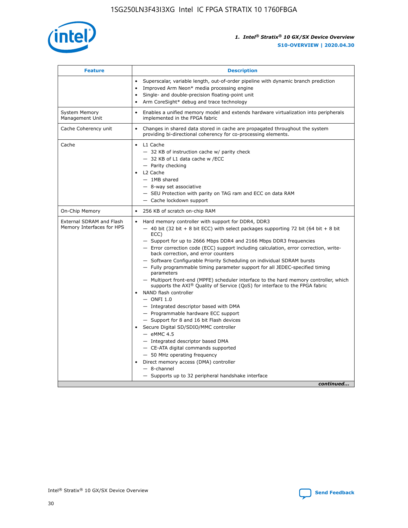

| <b>Feature</b>                                        | <b>Description</b>                                                                                                                                                                                                                                                                                                                                                                                                                                                                                                                                                                                                                                                                                                                                                                                                                                                                                                                                                                                                                                                                                                                                                                                                     |
|-------------------------------------------------------|------------------------------------------------------------------------------------------------------------------------------------------------------------------------------------------------------------------------------------------------------------------------------------------------------------------------------------------------------------------------------------------------------------------------------------------------------------------------------------------------------------------------------------------------------------------------------------------------------------------------------------------------------------------------------------------------------------------------------------------------------------------------------------------------------------------------------------------------------------------------------------------------------------------------------------------------------------------------------------------------------------------------------------------------------------------------------------------------------------------------------------------------------------------------------------------------------------------------|
|                                                       | Superscalar, variable length, out-of-order pipeline with dynamic branch prediction<br>Improved Arm Neon* media processing engine<br>$\bullet$<br>Single- and double-precision floating-point unit<br>Arm CoreSight* debug and trace technology<br>$\bullet$                                                                                                                                                                                                                                                                                                                                                                                                                                                                                                                                                                                                                                                                                                                                                                                                                                                                                                                                                            |
| <b>System Memory</b><br>Management Unit               | Enables a unified memory model and extends hardware virtualization into peripherals<br>$\bullet$<br>implemented in the FPGA fabric                                                                                                                                                                                                                                                                                                                                                                                                                                                                                                                                                                                                                                                                                                                                                                                                                                                                                                                                                                                                                                                                                     |
| Cache Coherency unit                                  | $\bullet$<br>Changes in shared data stored in cache are propagated throughout the system<br>providing bi-directional coherency for co-processing elements.                                                                                                                                                                                                                                                                                                                                                                                                                                                                                                                                                                                                                                                                                                                                                                                                                                                                                                                                                                                                                                                             |
| Cache                                                 | L1 Cache<br>$\bullet$<br>- 32 KB of instruction cache w/ parity check<br>- 32 KB of L1 data cache w /ECC<br>- Parity checking<br>L2 Cache<br>$-$ 1MB shared<br>- 8-way set associative<br>- SEU Protection with parity on TAG ram and ECC on data RAM<br>- Cache lockdown support                                                                                                                                                                                                                                                                                                                                                                                                                                                                                                                                                                                                                                                                                                                                                                                                                                                                                                                                      |
| On-Chip Memory                                        | 256 KB of scratch on-chip RAM<br>$\bullet$                                                                                                                                                                                                                                                                                                                                                                                                                                                                                                                                                                                                                                                                                                                                                                                                                                                                                                                                                                                                                                                                                                                                                                             |
| External SDRAM and Flash<br>Memory Interfaces for HPS | Hard memory controller with support for DDR4, DDR3<br>$\bullet$<br>$-$ 40 bit (32 bit + 8 bit ECC) with select packages supporting 72 bit (64 bit + 8 bit<br>ECC)<br>- Support for up to 2666 Mbps DDR4 and 2166 Mbps DDR3 frequencies<br>- Error correction code (ECC) support including calculation, error correction, write-<br>back correction, and error counters<br>- Software Configurable Priority Scheduling on individual SDRAM bursts<br>- Fully programmable timing parameter support for all JEDEC-specified timing<br>parameters<br>- Multiport front-end (MPFE) scheduler interface to the hard memory controller, which<br>supports the $AXI^{\circledR}$ Quality of Service (QoS) for interface to the FPGA fabric<br>NAND flash controller<br>$-$ ONFI 1.0<br>- Integrated descriptor based with DMA<br>- Programmable hardware ECC support<br>- Support for 8 and 16 bit Flash devices<br>Secure Digital SD/SDIO/MMC controller<br>$-$ eMMC 4.5<br>- Integrated descriptor based DMA<br>- CE-ATA digital commands supported<br>- 50 MHz operating frequency<br>Direct memory access (DMA) controller<br>$\bullet$<br>- 8-channel<br>- Supports up to 32 peripheral handshake interface<br>continued |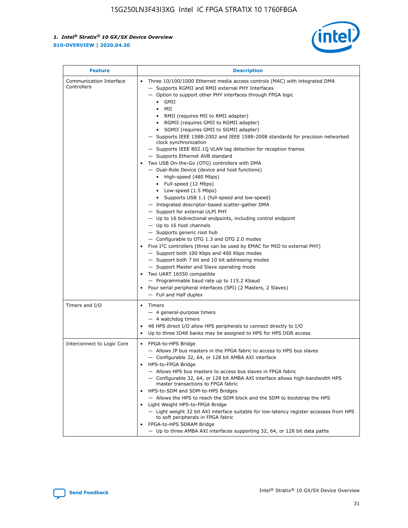

| <b>Feature</b>                         | <b>Description</b>                                                                                                                                                                                                                                                                                                                                                                                                                                                                                                                                                                                                                                                                                                                                                                                                                                                                                                                                                                                                                                                                                                                                                                                                                                                                                                                                                                                                                                                                                          |  |  |  |
|----------------------------------------|-------------------------------------------------------------------------------------------------------------------------------------------------------------------------------------------------------------------------------------------------------------------------------------------------------------------------------------------------------------------------------------------------------------------------------------------------------------------------------------------------------------------------------------------------------------------------------------------------------------------------------------------------------------------------------------------------------------------------------------------------------------------------------------------------------------------------------------------------------------------------------------------------------------------------------------------------------------------------------------------------------------------------------------------------------------------------------------------------------------------------------------------------------------------------------------------------------------------------------------------------------------------------------------------------------------------------------------------------------------------------------------------------------------------------------------------------------------------------------------------------------------|--|--|--|
| Communication Interface<br>Controllers | Three 10/100/1000 Ethernet media access controls (MAC) with integrated DMA<br>- Supports RGMII and RMII external PHY Interfaces<br>- Option to support other PHY interfaces through FPGA logic<br>$\bullet$ GMII<br>MII<br>$\bullet$<br>RMII (requires MII to RMII adapter)<br>• RGMII (requires GMII to RGMII adapter)<br>• SGMII (requires GMII to SGMII adapter)<br>- Supports IEEE 1588-2002 and IEEE 1588-2008 standards for precision networked<br>clock synchronization<br>- Supports IEEE 802.1Q VLAN tag detection for reception frames<br>- Supports Ethernet AVB standard<br>Two USB On-the-Go (OTG) controllers with DMA<br>- Dual-Role Device (device and host functions)<br>• High-speed (480 Mbps)<br>• Full-speed (12 Mbps)<br>• Low-speed (1.5 Mbps)<br>• Supports USB 1.1 (full-speed and low-speed)<br>- Integrated descriptor-based scatter-gather DMA<br>- Support for external ULPI PHY<br>- Up to 16 bidirectional endpoints, including control endpoint<br>$-$ Up to 16 host channels<br>- Supports generic root hub<br>- Configurable to OTG 1.3 and OTG 2.0 modes<br>Five I <sup>2</sup> C controllers (three can be used by EMAC for MIO to external PHY)<br>- Support both 100 Kbps and 400 Kbps modes<br>- Support both 7 bit and 10 bit addressing modes<br>- Support Master and Slave operating mode<br>Two UART 16550 compatible<br>- Programmable baud rate up to 115.2 Kbaud<br>• Four serial peripheral interfaces (SPI) (2 Masters, 2 Slaves)<br>- Full and Half duplex |  |  |  |
| Timers and I/O                         | • Timers<br>- 4 general-purpose timers<br>$-4$ watchdog timers<br>48 HPS direct I/O allow HPS peripherals to connect directly to I/O<br>Up to three IO48 banks may be assigned to HPS for HPS DDR access                                                                                                                                                                                                                                                                                                                                                                                                                                                                                                                                                                                                                                                                                                                                                                                                                                                                                                                                                                                                                                                                                                                                                                                                                                                                                                    |  |  |  |
| Interconnect to Logic Core             | • FPGA-to-HPS Bridge<br>- Allows IP bus masters in the FPGA fabric to access to HPS bus slaves<br>- Configurable 32, 64, or 128 bit AMBA AXI interface<br>HPS-to-FPGA Bridge<br>- Allows HPS bus masters to access bus slaves in FPGA fabric<br>- Configurable 32, 64, or 128 bit AMBA AXI interface allows high-bandwidth HPS<br>master transactions to FPGA fabric<br>HPS-to-SDM and SDM-to-HPS Bridges<br>- Allows the HPS to reach the SDM block and the SDM to bootstrap the HPS<br>Light Weight HPS-to-FPGA Bridge<br>- Light weight 32 bit AXI interface suitable for low-latency register accesses from HPS<br>to soft peripherals in FPGA fabric<br>FPGA-to-HPS SDRAM Bridge<br>- Up to three AMBA AXI interfaces supporting 32, 64, or 128 bit data paths                                                                                                                                                                                                                                                                                                                                                                                                                                                                                                                                                                                                                                                                                                                                         |  |  |  |

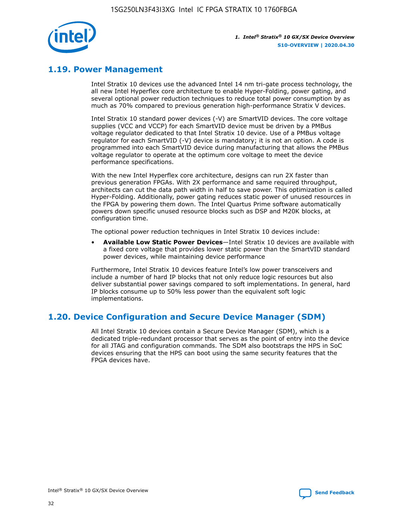

## **1.19. Power Management**

Intel Stratix 10 devices use the advanced Intel 14 nm tri-gate process technology, the all new Intel Hyperflex core architecture to enable Hyper-Folding, power gating, and several optional power reduction techniques to reduce total power consumption by as much as 70% compared to previous generation high-performance Stratix V devices.

Intel Stratix 10 standard power devices (-V) are SmartVID devices. The core voltage supplies (VCC and VCCP) for each SmartVID device must be driven by a PMBus voltage regulator dedicated to that Intel Stratix 10 device. Use of a PMBus voltage regulator for each SmartVID (-V) device is mandatory; it is not an option. A code is programmed into each SmartVID device during manufacturing that allows the PMBus voltage regulator to operate at the optimum core voltage to meet the device performance specifications.

With the new Intel Hyperflex core architecture, designs can run 2X faster than previous generation FPGAs. With 2X performance and same required throughput, architects can cut the data path width in half to save power. This optimization is called Hyper-Folding. Additionally, power gating reduces static power of unused resources in the FPGA by powering them down. The Intel Quartus Prime software automatically powers down specific unused resource blocks such as DSP and M20K blocks, at configuration time.

The optional power reduction techniques in Intel Stratix 10 devices include:

• **Available Low Static Power Devices**—Intel Stratix 10 devices are available with a fixed core voltage that provides lower static power than the SmartVID standard power devices, while maintaining device performance

Furthermore, Intel Stratix 10 devices feature Intel's low power transceivers and include a number of hard IP blocks that not only reduce logic resources but also deliver substantial power savings compared to soft implementations. In general, hard IP blocks consume up to 50% less power than the equivalent soft logic implementations.

## **1.20. Device Configuration and Secure Device Manager (SDM)**

All Intel Stratix 10 devices contain a Secure Device Manager (SDM), which is a dedicated triple-redundant processor that serves as the point of entry into the device for all JTAG and configuration commands. The SDM also bootstraps the HPS in SoC devices ensuring that the HPS can boot using the same security features that the FPGA devices have.

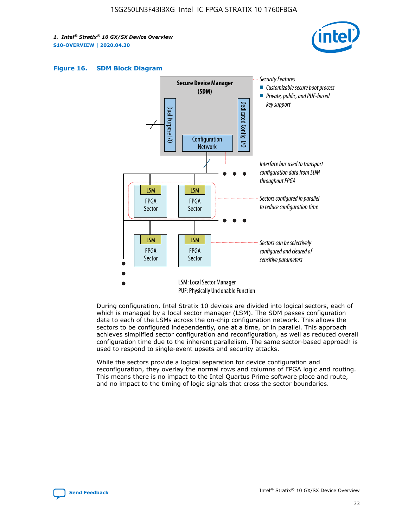





During configuration, Intel Stratix 10 devices are divided into logical sectors, each of which is managed by a local sector manager (LSM). The SDM passes configuration data to each of the LSMs across the on-chip configuration network. This allows the sectors to be configured independently, one at a time, or in parallel. This approach achieves simplified sector configuration and reconfiguration, as well as reduced overall configuration time due to the inherent parallelism. The same sector-based approach is used to respond to single-event upsets and security attacks.

While the sectors provide a logical separation for device configuration and reconfiguration, they overlay the normal rows and columns of FPGA logic and routing. This means there is no impact to the Intel Quartus Prime software place and route, and no impact to the timing of logic signals that cross the sector boundaries.

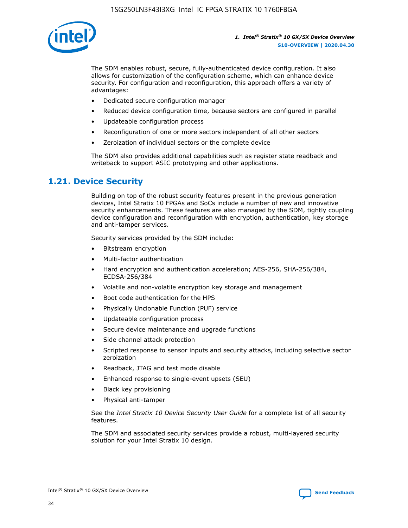

The SDM enables robust, secure, fully-authenticated device configuration. It also allows for customization of the configuration scheme, which can enhance device security. For configuration and reconfiguration, this approach offers a variety of advantages:

- Dedicated secure configuration manager
- Reduced device configuration time, because sectors are configured in parallel
- Updateable configuration process
- Reconfiguration of one or more sectors independent of all other sectors
- Zeroization of individual sectors or the complete device

The SDM also provides additional capabilities such as register state readback and writeback to support ASIC prototyping and other applications.

## **1.21. Device Security**

Building on top of the robust security features present in the previous generation devices, Intel Stratix 10 FPGAs and SoCs include a number of new and innovative security enhancements. These features are also managed by the SDM, tightly coupling device configuration and reconfiguration with encryption, authentication, key storage and anti-tamper services.

Security services provided by the SDM include:

- Bitstream encryption
- Multi-factor authentication
- Hard encryption and authentication acceleration; AES-256, SHA-256/384, ECDSA-256/384
- Volatile and non-volatile encryption key storage and management
- Boot code authentication for the HPS
- Physically Unclonable Function (PUF) service
- Updateable configuration process
- Secure device maintenance and upgrade functions
- Side channel attack protection
- Scripted response to sensor inputs and security attacks, including selective sector zeroization
- Readback, JTAG and test mode disable
- Enhanced response to single-event upsets (SEU)
- Black key provisioning
- Physical anti-tamper

See the *Intel Stratix 10 Device Security User Guide* for a complete list of all security features.

The SDM and associated security services provide a robust, multi-layered security solution for your Intel Stratix 10 design.

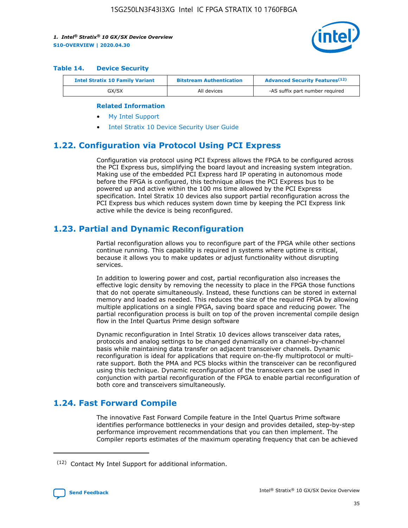

#### **Table 14. Device Security**

| <b>Intel Stratix 10 Family Variant</b> | <b>Bitstream Authentication</b> | <b>Advanced Security Features</b> <sup>(12)</sup> |
|----------------------------------------|---------------------------------|---------------------------------------------------|
| GX/SX                                  | All devices                     | -AS suffix part number required                   |

#### **Related Information**

- [My Intel Support](https://www.intel.com/content/www/us/en/programmable/my-intel/mal-home.html)
- [Intel Stratix 10 Device Security User Guide](https://www.intel.com/content/www/us/en/programmable/documentation/ndq1483601370898.html#wcd1483611014402)

## **1.22. Configuration via Protocol Using PCI Express**

Configuration via protocol using PCI Express allows the FPGA to be configured across the PCI Express bus, simplifying the board layout and increasing system integration. Making use of the embedded PCI Express hard IP operating in autonomous mode before the FPGA is configured, this technique allows the PCI Express bus to be powered up and active within the 100 ms time allowed by the PCI Express specification. Intel Stratix 10 devices also support partial reconfiguration across the PCI Express bus which reduces system down time by keeping the PCI Express link active while the device is being reconfigured.

## **1.23. Partial and Dynamic Reconfiguration**

Partial reconfiguration allows you to reconfigure part of the FPGA while other sections continue running. This capability is required in systems where uptime is critical, because it allows you to make updates or adjust functionality without disrupting services.

In addition to lowering power and cost, partial reconfiguration also increases the effective logic density by removing the necessity to place in the FPGA those functions that do not operate simultaneously. Instead, these functions can be stored in external memory and loaded as needed. This reduces the size of the required FPGA by allowing multiple applications on a single FPGA, saving board space and reducing power. The partial reconfiguration process is built on top of the proven incremental compile design flow in the Intel Quartus Prime design software

Dynamic reconfiguration in Intel Stratix 10 devices allows transceiver data rates, protocols and analog settings to be changed dynamically on a channel-by-channel basis while maintaining data transfer on adjacent transceiver channels. Dynamic reconfiguration is ideal for applications that require on-the-fly multiprotocol or multirate support. Both the PMA and PCS blocks within the transceiver can be reconfigured using this technique. Dynamic reconfiguration of the transceivers can be used in conjunction with partial reconfiguration of the FPGA to enable partial reconfiguration of both core and transceivers simultaneously.

## **1.24. Fast Forward Compile**

The innovative Fast Forward Compile feature in the Intel Quartus Prime software identifies performance bottlenecks in your design and provides detailed, step-by-step performance improvement recommendations that you can then implement. The Compiler reports estimates of the maximum operating frequency that can be achieved

<sup>(12)</sup> Contact My Intel Support for additional information.

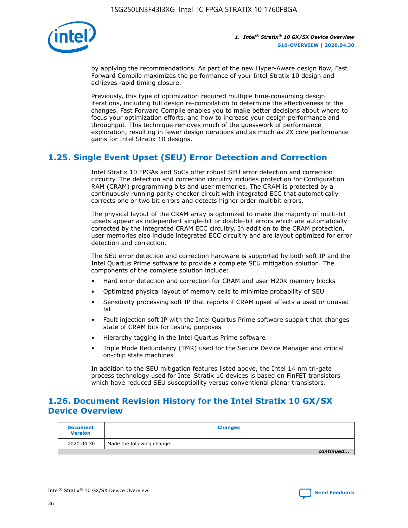

by applying the recommendations. As part of the new Hyper-Aware design flow, Fast Forward Compile maximizes the performance of your Intel Stratix 10 design and achieves rapid timing closure.

Previously, this type of optimization required multiple time-consuming design iterations, including full design re-compilation to determine the effectiveness of the changes. Fast Forward Compile enables you to make better decisions about where to focus your optimization efforts, and how to increase your design performance and throughput. This technique removes much of the guesswork of performance exploration, resulting in fewer design iterations and as much as 2X core performance gains for Intel Stratix 10 designs.

## **1.25. Single Event Upset (SEU) Error Detection and Correction**

Intel Stratix 10 FPGAs and SoCs offer robust SEU error detection and correction circuitry. The detection and correction circuitry includes protection for Configuration RAM (CRAM) programming bits and user memories. The CRAM is protected by a continuously running parity checker circuit with integrated ECC that automatically corrects one or two bit errors and detects higher order multibit errors.

The physical layout of the CRAM array is optimized to make the majority of multi-bit upsets appear as independent single-bit or double-bit errors which are automatically corrected by the integrated CRAM ECC circuitry. In addition to the CRAM protection, user memories also include integrated ECC circuitry and are layout optimized for error detection and correction.

The SEU error detection and correction hardware is supported by both soft IP and the Intel Quartus Prime software to provide a complete SEU mitigation solution. The components of the complete solution include:

- Hard error detection and correction for CRAM and user M20K memory blocks
- Optimized physical layout of memory cells to minimize probability of SEU
- Sensitivity processing soft IP that reports if CRAM upset affects a used or unused bit
- Fault injection soft IP with the Intel Quartus Prime software support that changes state of CRAM bits for testing purposes
- Hierarchy tagging in the Intel Quartus Prime software
- Triple Mode Redundancy (TMR) used for the Secure Device Manager and critical on-chip state machines

In addition to the SEU mitigation features listed above, the Intel 14 nm tri-gate process technology used for Intel Stratix 10 devices is based on FinFET transistors which have reduced SEU susceptibility versus conventional planar transistors.

## **1.26. Document Revision History for the Intel Stratix 10 GX/SX Device Overview**

| <b>Document</b><br><b>Version</b> | <b>Changes</b>             |
|-----------------------------------|----------------------------|
| 2020.04.30                        | Made the following change: |
|                                   | continued                  |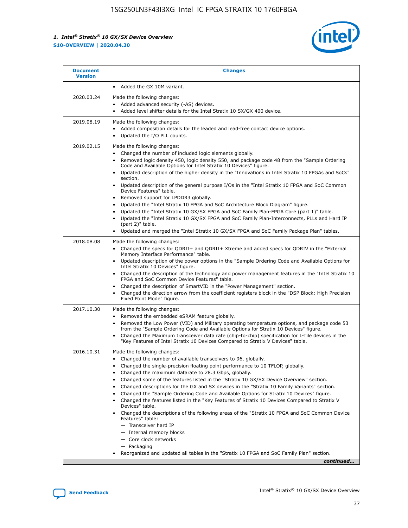

| Added the GX 10M variant.<br>$\bullet$<br>2020.03.24<br>Made the following changes:<br>Added advanced security (-AS) devices.<br>$\bullet$<br>Added level shifter details for the Intel Stratix 10 SX/GX 400 device.<br>$\bullet$<br>2019.08.19<br>Made the following changes:<br>Added composition details for the leaded and lead-free contact device options.<br>$\bullet$<br>Updated the I/O PLL counts.<br>$\bullet$<br>2019.02.15<br>Made the following changes:<br>Changed the number of included logic elements globally.<br>$\bullet$<br>Removed logic density 450, logic density 550, and package code 48 from the "Sample Ordering<br>$\bullet$<br>Code and Available Options for Intel Stratix 10 Devices" figure.<br>Updated description of the higher density in the "Innovations in Intel Stratix 10 FPGAs and SoCs"<br>section.<br>Updated description of the general purpose I/Os in the "Intel Stratix 10 FPGA and SoC Common<br>$\bullet$<br>Device Features" table.<br>Removed support for LPDDR3 globally.<br>٠<br>Updated the "Intel Stratix 10 FPGA and SoC Architecture Block Diagram" figure.<br>٠<br>Updated the "Intel Stratix 10 GX/SX FPGA and SoC Family Plan-FPGA Core (part 1)" table.<br>$\bullet$<br>Updated the "Intel Stratix 10 GX/SX FPGA and SoC Family Plan-Interconnects, PLLs and Hard IP<br>$\bullet$<br>(part 2)" table.<br>Updated and merged the "Intel Stratix 10 GX/SX FPGA and SoC Family Package Plan" tables.<br>2018.08.08<br>Made the following changes:<br>Changed the specs for ODRII+ and ODRII+ Xtreme and added specs for ODRIV in the "External<br>$\bullet$<br>Memory Interface Performance" table.<br>Updated description of the power options in the "Sample Ordering Code and Available Options for<br>Intel Stratix 10 Devices" figure.<br>Changed the description of the technology and power management features in the "Intel Stratix 10<br>FPGA and SoC Common Device Features" table.<br>Changed the description of SmartVID in the "Power Management" section.<br>٠<br>Changed the direction arrow from the coefficient registers block in the "DSP Block: High Precision<br>Fixed Point Mode" figure.<br>2017.10.30<br>Made the following changes:<br>Removed the embedded eSRAM feature globally.<br>$\bullet$<br>Removed the Low Power (VID) and Military operating temperature options, and package code 53<br>٠<br>from the "Sample Ordering Code and Available Options for Stratix 10 Devices" figure.<br>Changed the Maximum transceiver data rate (chip-to-chip) specification for L-Tile devices in the<br>٠<br>"Key Features of Intel Stratix 10 Devices Compared to Stratix V Devices" table.<br>2016.10.31<br>Made the following changes:<br>• Changed the number of available transceivers to 96, globally.<br>Changed the single-precision floating point performance to 10 TFLOP, globally.<br>Changed the maximum datarate to 28.3 Gbps, globally.<br>٠<br>Changed some of the features listed in the "Stratix 10 GX/SX Device Overview" section.<br>٠<br>Changed descriptions for the GX and SX devices in the "Stratix 10 Family Variants" section.<br>٠<br>Changed the "Sample Ordering Code and Available Options for Stratix 10 Devices" figure.<br>٠<br>Changed the features listed in the "Key Features of Stratix 10 Devices Compared to Stratix V<br>٠ | <b>Document</b><br><b>Version</b> | <b>Changes</b>  |
|-------------------------------------------------------------------------------------------------------------------------------------------------------------------------------------------------------------------------------------------------------------------------------------------------------------------------------------------------------------------------------------------------------------------------------------------------------------------------------------------------------------------------------------------------------------------------------------------------------------------------------------------------------------------------------------------------------------------------------------------------------------------------------------------------------------------------------------------------------------------------------------------------------------------------------------------------------------------------------------------------------------------------------------------------------------------------------------------------------------------------------------------------------------------------------------------------------------------------------------------------------------------------------------------------------------------------------------------------------------------------------------------------------------------------------------------------------------------------------------------------------------------------------------------------------------------------------------------------------------------------------------------------------------------------------------------------------------------------------------------------------------------------------------------------------------------------------------------------------------------------------------------------------------------------------------------------------------------------------------------------------------------------------------------------------------------------------------------------------------------------------------------------------------------------------------------------------------------------------------------------------------------------------------------------------------------------------------------------------------------------------------------------------------------------------------------------------------------------------------------------------------------------------------------------------------------------------------------------------------------------------------------------------------------------------------------------------------------------------------------------------------------------------------------------------------------------------------------------------------------------------------------------------------------------------------------------------------------------------------------------------------------------------------------------------------------------------------------------------------------------------------------------------------------------------------------------------------------------------------------------------------------------------------------------------------------------------------------------------|-----------------------------------|-----------------|
|                                                                                                                                                                                                                                                                                                                                                                                                                                                                                                                                                                                                                                                                                                                                                                                                                                                                                                                                                                                                                                                                                                                                                                                                                                                                                                                                                                                                                                                                                                                                                                                                                                                                                                                                                                                                                                                                                                                                                                                                                                                                                                                                                                                                                                                                                                                                                                                                                                                                                                                                                                                                                                                                                                                                                                                                                                                                                                                                                                                                                                                                                                                                                                                                                                                                                                                                                       |                                   |                 |
|                                                                                                                                                                                                                                                                                                                                                                                                                                                                                                                                                                                                                                                                                                                                                                                                                                                                                                                                                                                                                                                                                                                                                                                                                                                                                                                                                                                                                                                                                                                                                                                                                                                                                                                                                                                                                                                                                                                                                                                                                                                                                                                                                                                                                                                                                                                                                                                                                                                                                                                                                                                                                                                                                                                                                                                                                                                                                                                                                                                                                                                                                                                                                                                                                                                                                                                                                       |                                   |                 |
|                                                                                                                                                                                                                                                                                                                                                                                                                                                                                                                                                                                                                                                                                                                                                                                                                                                                                                                                                                                                                                                                                                                                                                                                                                                                                                                                                                                                                                                                                                                                                                                                                                                                                                                                                                                                                                                                                                                                                                                                                                                                                                                                                                                                                                                                                                                                                                                                                                                                                                                                                                                                                                                                                                                                                                                                                                                                                                                                                                                                                                                                                                                                                                                                                                                                                                                                                       |                                   |                 |
|                                                                                                                                                                                                                                                                                                                                                                                                                                                                                                                                                                                                                                                                                                                                                                                                                                                                                                                                                                                                                                                                                                                                                                                                                                                                                                                                                                                                                                                                                                                                                                                                                                                                                                                                                                                                                                                                                                                                                                                                                                                                                                                                                                                                                                                                                                                                                                                                                                                                                                                                                                                                                                                                                                                                                                                                                                                                                                                                                                                                                                                                                                                                                                                                                                                                                                                                                       |                                   |                 |
|                                                                                                                                                                                                                                                                                                                                                                                                                                                                                                                                                                                                                                                                                                                                                                                                                                                                                                                                                                                                                                                                                                                                                                                                                                                                                                                                                                                                                                                                                                                                                                                                                                                                                                                                                                                                                                                                                                                                                                                                                                                                                                                                                                                                                                                                                                                                                                                                                                                                                                                                                                                                                                                                                                                                                                                                                                                                                                                                                                                                                                                                                                                                                                                                                                                                                                                                                       |                                   |                 |
|                                                                                                                                                                                                                                                                                                                                                                                                                                                                                                                                                                                                                                                                                                                                                                                                                                                                                                                                                                                                                                                                                                                                                                                                                                                                                                                                                                                                                                                                                                                                                                                                                                                                                                                                                                                                                                                                                                                                                                                                                                                                                                                                                                                                                                                                                                                                                                                                                                                                                                                                                                                                                                                                                                                                                                                                                                                                                                                                                                                                                                                                                                                                                                                                                                                                                                                                                       |                                   |                 |
| Changed the descriptions of the following areas of the "Stratix 10 FPGA and SoC Common Device<br>Features" table:<br>- Transceiver hard IP<br>- Internal memory blocks<br>- Core clock networks<br>- Packaging<br>Reorganized and updated all tables in the "Stratix 10 FPGA and SoC Family Plan" section.<br>continued                                                                                                                                                                                                                                                                                                                                                                                                                                                                                                                                                                                                                                                                                                                                                                                                                                                                                                                                                                                                                                                                                                                                                                                                                                                                                                                                                                                                                                                                                                                                                                                                                                                                                                                                                                                                                                                                                                                                                                                                                                                                                                                                                                                                                                                                                                                                                                                                                                                                                                                                                                                                                                                                                                                                                                                                                                                                                                                                                                                                                               |                                   | Devices" table. |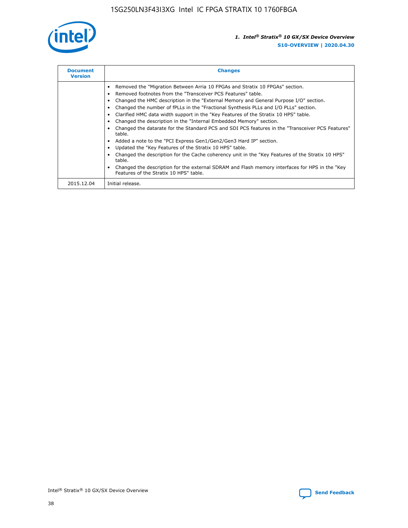

| <b>Document</b><br><b>Version</b> | <b>Changes</b>                                                                                                                                                                                                                                                                                                                                                                                                                                                                                                                                                                                                                                                                                                                                                                                                                                                                                                                                                                                     |
|-----------------------------------|----------------------------------------------------------------------------------------------------------------------------------------------------------------------------------------------------------------------------------------------------------------------------------------------------------------------------------------------------------------------------------------------------------------------------------------------------------------------------------------------------------------------------------------------------------------------------------------------------------------------------------------------------------------------------------------------------------------------------------------------------------------------------------------------------------------------------------------------------------------------------------------------------------------------------------------------------------------------------------------------------|
|                                   | Removed the "Migration Between Arria 10 FPGAs and Stratix 10 FPGAs" section.<br>Removed footnotes from the "Transceiver PCS Features" table.<br>Changed the HMC description in the "External Memory and General Purpose I/O" section.<br>Changed the number of fPLLs in the "Fractional Synthesis PLLs and I/O PLLs" section.<br>Clarified HMC data width support in the "Key Features of the Stratix 10 HPS" table.<br>Changed the description in the "Internal Embedded Memory" section.<br>Changed the datarate for the Standard PCS and SDI PCS features in the "Transceiver PCS Features"<br>table.<br>Added a note to the "PCI Express Gen1/Gen2/Gen3 Hard IP" section.<br>Updated the "Key Features of the Stratix 10 HPS" table.<br>Changed the description for the Cache coherency unit in the "Key Features of the Stratix 10 HPS"<br>table.<br>Changed the description for the external SDRAM and Flash memory interfaces for HPS in the "Key<br>Features of the Stratix 10 HPS" table. |
| 2015.12.04                        | Initial release.                                                                                                                                                                                                                                                                                                                                                                                                                                                                                                                                                                                                                                                                                                                                                                                                                                                                                                                                                                                   |